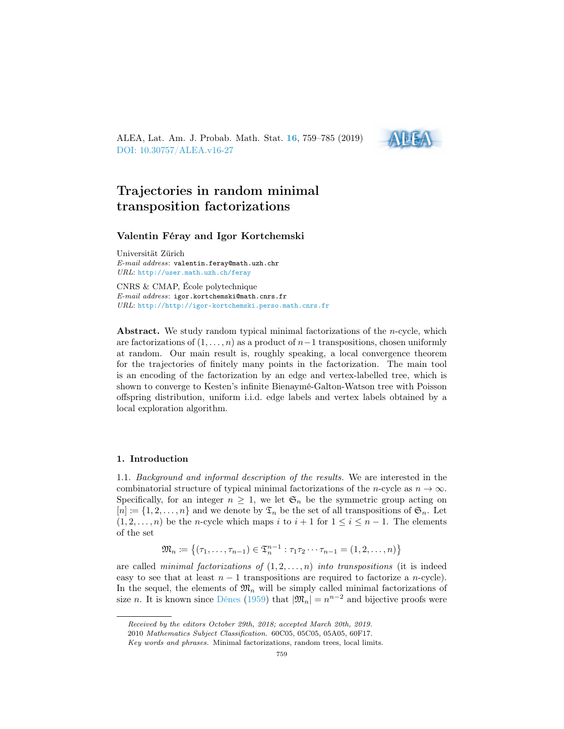ALEA, Lat. Am. J. Probab. Math. Stat. [16](http://alea.impa.br/english/index_v16.htm), 759–785 (2019) [DOI: 10.30757/ALEA.v16-27](https://doi.org/10.30757/ALEA.v16-27)



# Trajectories in random minimal transposition factorizations

### Valentin Féray and Igor Kortchemski

Universität Zürich E-mail address: valentin.feray@math.uzh.chr URL: <http://user.math.uzh.ch/feray>

CNRS & CMAP, École polytechnique E-mail address: igor.kortchemski@math.cnrs.fr URL: <http://http://igor-kortchemski.perso.math.cnrs.fr>

Abstract. We study random typical minimal factorizations of the *n*-cycle, which are factorizations of  $(1, \ldots, n)$  as a product of  $n-1$  transpositions, chosen uniformly at random. Our main result is, roughly speaking, a local convergence theorem for the trajectories of finitely many points in the factorization. The main tool is an encoding of the factorization by an edge and vertex-labelled tree, which is shown to converge to Kesten's infinite Bienaymé-Galton-Watson tree with Poisson offspring distribution, uniform i.i.d. edge labels and vertex labels obtained by a local exploration algorithm.

## 1. Introduction

1.1. Background and informal description of the results. We are interested in the combinatorial structure of typical minimal factorizations of the n-cycle as  $n \to \infty$ . Specifically, for an integer  $n \geq 1$ , we let  $\mathfrak{S}_n$  be the symmetric group acting on  $[n] \coloneqq \{1, 2, \ldots, n\}$  and we denote by  $\mathfrak{T}_n$  be the set of all transpositions of  $\mathfrak{S}_n$ . Let  $(1, 2, \ldots, n)$  be the *n*-cycle which maps i to  $i + 1$  for  $1 \le i \le n - 1$ . The elements of the set

$$
\mathfrak{M}_n \coloneqq \big\{(\tau_1, \ldots, \tau_{n-1}) \in \mathfrak{T}_n^{n-1} : \tau_1 \tau_2 \cdots \tau_{n-1} = (1, 2, \ldots, n)\big\}
$$

are called *minimal factorizations of*  $(1, 2, \ldots, n)$  *into transpositions* (it is indeed easy to see that at least  $n - 1$  transpositions are required to factorize a n-cycle). In the sequel, the elements of  $\mathfrak{M}_n$  will be simply called minimal factorizations of size n. It is known since [Dénes](#page-26-0) [\(1959\)](#page-26-0) that  $|\mathfrak{M}_n| = n^{n-2}$  and bijective proofs were

Received by the editors October 29th, 2018; accepted March 20th, 2019.

<sup>2010</sup> Mathematics Subject Classification. 60C05, 05C05, 05A05, 60F17.

Key words and phrases. Minimal factorizations, random trees, local limits.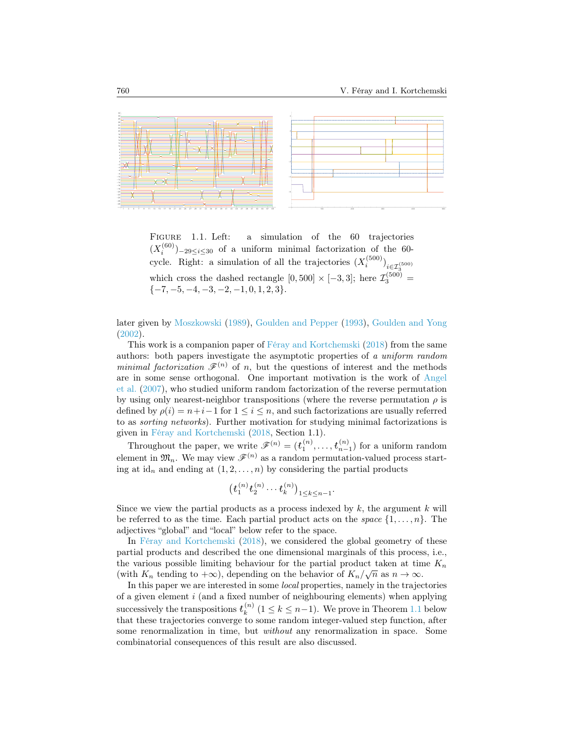

<span id="page-1-0"></span>FIGURE 1.1. Left: a simulation of the 60 trajectories  $(X_i^{(60)})_{-29\leq i\leq 30}$  of a uniform minimal factorization of the 60cycle. Right: a simulation of all the trajectories  $(X_i^{(500)})_{i \in \mathcal{I}_3^{(500)}}$ which cross the dashed rectangle  $[0, 500] \times [-3, 3]$ ; here  $\mathcal{I}_{3}^{(500)}$  =  $\{-7, -5, -4, -3, -2, -1, 0, 1, 2, 3\}.$ 

later given by [Moszkowski](#page-26-1) [\(1989\)](#page-26-1), [Goulden and Pepper](#page-26-2) [\(1993\)](#page-26-2), [Goulden and Yong](#page-26-3) [\(2002\)](#page-26-3).

This work is a companion paper of [Féray and Kortchemski](#page-26-4) [\(2018\)](#page-26-4) from the same authors: both papers investigate the asymptotic properties of a uniform random minimal factorization  $\mathscr{F}^{(n)}$  of n, but the questions of interest and the methods are in some sense orthogonal. One important motivation is the work of [Angel](#page-26-5) [et al.](#page-26-5) [\(2007\)](#page-26-5), who studied uniform random factorization of the reverse permutation by using only nearest-neighbor transpositions (where the reverse permutation  $\rho$  is defined by  $\rho(i) = n+i-1$  for  $1 \leq i \leq n$ , and such factorizations are usually referred to as sorting networks). Further motivation for studying minimal factorizations is given in [Féray and Kortchemski](#page-26-4) [\(2018,](#page-26-4) Section 1.1).

Throughout the paper, we write  $\mathscr{F}^{(n)} = (t_1^{(n)}, \ldots, t_{n-1}^{(n)})$  for a uniform random element in  $\mathfrak{M}_n$ . We may view  $\mathscr{F}^{(n)}$  as a random permutation-valued process starting at id<sub>n</sub> and ending at  $(1, 2, \ldots, n)$  by considering the partial products

$$
\bigl(t_1^{(n)}t_2^{(n)}\cdots t_k^{(n)}\bigr)_{1\leq k\leq n-1}.
$$

Since we view the partial products as a process indexed by  $k$ , the argument  $k$  will be referred to as the time. Each partial product acts on the space  $\{1,\ldots,n\}$ . The adjectives "global" and "local" below refer to the space.

In [Féray and Kortchemski](#page-26-4) [\(2018\)](#page-26-4), we considered the global geometry of these partial products and described the one dimensional marginals of this process, i.e., the various possible limiting behaviour for the partial product taken at time  $K_n$ (with  $K_n$  tending to  $+\infty$ ), depending on the behavior of  $K_n/\sqrt{n}$  as  $n \to \infty$ .

In this paper we are interested in some local properties, namely in the trajectories of a given element  $i$  (and a fixed number of neighbouring elements) when applying successively the transpositions  $t_k^{(n)}$  $\binom{n}{k}$   $(1 \leq k \leq n-1)$ . We prove in Theorem [1.1](#page-2-0) below that these trajectories converge to some random integer-valued step function, after some renormalization in time, but *without* any renormalization in space. Some combinatorial consequences of this result are also discussed.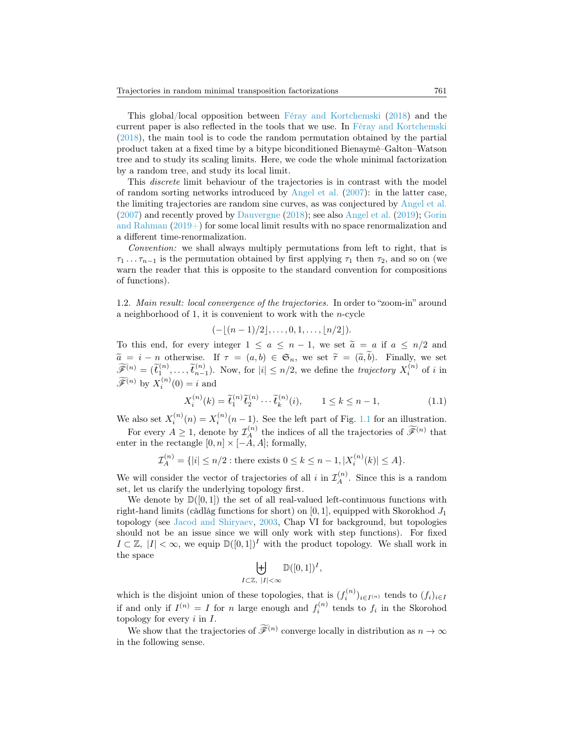This global/local opposition between [Féray and Kortchemski](#page-26-4) [\(2018\)](#page-26-4) and the current paper is also reflected in the tools that we use. In [Féray and Kortchemski](#page-26-4) [\(2018\)](#page-26-4), the main tool is to code the random permutation obtained by the partial product taken at a fixed time by a bitype biconditioned Bienaymé–Galton–Watson tree and to study its scaling limits. Here, we code the whole minimal factorization by a random tree, and study its local limit.

This discrete limit behaviour of the trajectories is in contrast with the model of random sorting networks introduced by [Angel et al.](#page-26-5) [\(2007\)](#page-26-5): in the latter case, the limiting trajectories are random sine curves, as was conjectured by [Angel et al.](#page-26-5) [\(2007\)](#page-26-5) and recently proved by [Dauvergne](#page-26-6) [\(2018\)](#page-26-6); see also [Angel et al.](#page-25-0) [\(2019\)](#page-25-0); [Gorin](#page-26-7) [and Rahman](#page-26-7)  $(2019+)$  for some local limit results with no space renormalization and a different time-renormalization.

Convention: we shall always multiply permutations from left to right, that is  $\tau_1 \ldots \tau_{n-1}$  is the permutation obtained by first applying  $\tau_1$  then  $\tau_2$ , and so on (we warn the reader that this is opposite to the standard convention for compositions of functions).

1.2. Main result: local convergence of the trajectories. In order to "zoom-in" around a neighborhood of 1, it is convenient to work with the  $n$ -cycle

$$
(-\lfloor (n-1)/2 \rfloor, \ldots, 0, 1, \ldots, \lfloor n/2 \rfloor).
$$

To this end, for every integer  $1 \le a \le n-1$ , we set  $\tilde{a} = a$  if  $a \le n/2$  and  $\widetilde{a} = i - n$  otherwise. If  $\tau = (a, b) \in \mathfrak{S}_n$ , we set  $\widetilde{\tau} = (\widetilde{a}, b)$ . Finally, we set  $\widetilde{\tau} = (\widetilde{a}, b)$ .  $\widetilde{\mathscr{F}}^{(n)} = (\widetilde{t}_1^{(n)}, \ldots, \widetilde{t}_{n-1}^{(n)}).$  Now, for  $|i| \leq n/2$ , we define the *trajectory*  $X_i^{(n)}$  of *i* in  $\widetilde{\mathscr{F}}^{(n)}$  by  $X_i^{(n)}(0) = i$  and

<span id="page-2-1"></span>
$$
X_i^{(n)}(k) = \tilde{t}_1^{(n)} \tilde{t}_2^{(n)} \cdots \tilde{t}_k^{(n)}(i), \qquad 1 \le k \le n - 1,
$$
 (1.1)

We also set  $X_i^{(n)}(n) = X_i^{(n)}(n-1)$ . See the left part of Fig. [1.1](#page-1-0) for an illustration.

For every  $A \geq 1$ , denote by  $\mathcal{I}_A^{(n)}$  the indices of all the trajectories of  $\widetilde{\mathscr{F}}^{(n)}$  that enter in the rectangle  $[0, n] \times [-A, A]$ ; formally,

$$
\mathcal{I}_A^{(n)} = \{ |i| \le n/2 : \text{there exists } 0 \le k \le n - 1, |X_i^{(n)}(k)| \le A \}.
$$

We will consider the vector of trajectories of all i in  $\mathcal{I}_A^{(n)}$ . Since this is a random set, let us clarify the underlying topology first.

We denote by  $\mathbb{D}([0,1])$  the set of all real-valued left-continuous functions with right-hand limits (càdlàg functions for short) on  $[0, 1]$ , equipped with Skorokhod  $J_1$ topology (see [Jacod and Shiryaev,](#page-26-8) [2003,](#page-26-8) Chap VI for background, but topologies should not be an issue since we will only work with step functions). For fixed  $I \subset \mathbb{Z}$ ,  $|I| < \infty$ , we equip  $\mathbb{D}([0,1])^I$  with the product topology. We shall work in the space

$$
\biguplus_{I \subset \mathbb{Z}, \ |I| < \infty} \mathbb{D}([0,1])^I,
$$

which is the disjoint union of these topologies, that is  $(f_i^{(n)})_{i \in I^{(n)}}$  tends to  $(f_i)_{i \in I}$ if and only if  $I^{(n)} = I$  for n large enough and  $f_i^{(n)}$  tends to  $f_i$  in the Skorohod topology for every  $i$  in  $I$ .

<span id="page-2-0"></span>We show that the trajectories of  $\widetilde{\mathscr{F}}^{(n)}$  converge locally in distribution as  $n \to \infty$ in the following sense.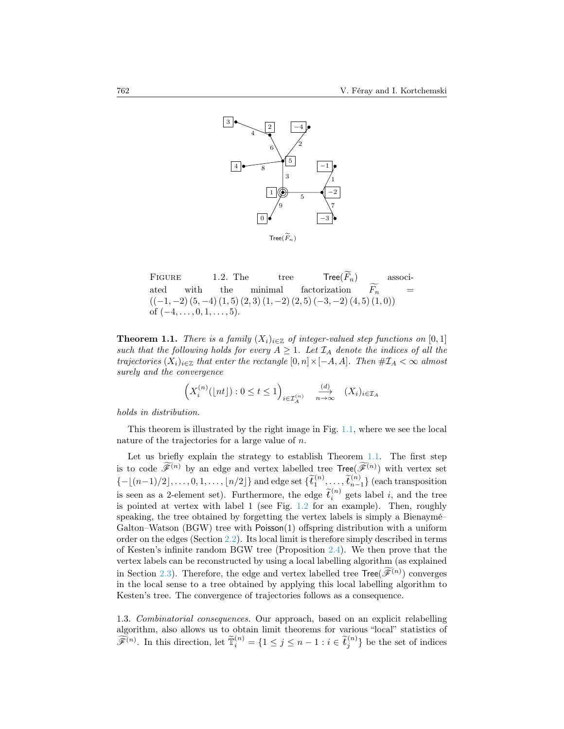

<span id="page-3-0"></span>FIGURE 1.2. The tree  $\widetilde{F}_n$ )  $Tree(F_n)$  associ-<br>factorization  $\widetilde{F_n}$  = ated with the minimal factorization  $F_n$  =  $((-1,-2) (5,-4) (1,5) (2,3) (1,-2) (2,5) (-3,-2) (4,5) (1,0))$ of  $(-4, \ldots, 0, 1, \ldots, 5)$ .

**Theorem 1.1.** There is a family  $(X_i)_{i\in\mathbb{Z}}$  of integer-valued step functions on [0, 1] such that the following holds for every  $A \geq 1$ . Let  $\mathcal{I}_A$  denote the indices of all the trajectories  $(X_i)_{i\in\mathbb{Z}}$  that enter the rectangle  $[0, n] \times [-A, A]$ . Then  $\# \mathcal{I}_A < \infty$  almost surely and the convergence

$$
\left(X_i^{(n)}(\lfloor nt\rfloor) : 0 \le t \le 1\right)_{i \in \mathcal{I}_A^{(n)}} \xrightarrow[n \to \infty]{} (X_i)_{i \in \mathcal{I}_A}
$$

holds in distribution.

This theorem is illustrated by the right image in Fig. [1.1,](#page-1-0) where we see the local nature of the trajectories for a large value of n.

Let us briefly explain the strategy to establish Theorem [1.1.](#page-2-0) The first step is to code  $\widetilde{\mathscr{F}}^{(n)}$  by an edge and vertex labelled tree  $\text{Tree}(\widetilde{\mathscr{F}}^{(n)})$  with vertex set  ${-\lfloor (n-1)/2\rfloor, \ldots, 0, 1, \ldots, \lfloor n/2\rfloor}$  and edge set  $\{\widetilde{t}_1^{(n)}, \ldots, \widetilde{t}_{n-1}^{(n)}\}$  (each transposition is seen as a 2-element set). Furthermore, the edge  $\tilde{t}_i^{(n)}$  gets label i, and the tree is pointed at vertex with label 1 (see Fig. [1.2](#page-3-0) for an example). Then, roughly speaking, the tree obtained by forgetting the vertex labels is simply a Bienaymé– Galton–Watson (BGW) tree with Poisson(1) offspring distribution with a uniform order on the edges (Section [2.2\)](#page-9-0). Its local limit is therefore simply described in terms of Kesten's infinite random BGW tree (Proposition [2.4\)](#page-10-0). We then prove that the vertex labels can be reconstructed by using a local labelling algorithm (as explained in Section [2.3\)](#page-11-0). Therefore, the edge and vertex labelled tree  $\text{Tree}(\widetilde{\mathscr{F}}^{(n)})$  converges in the local sense to a tree obtained by applying this local labelling algorithm to Kesten's tree. The convergence of trajectories follows as a consequence.

1.3. Combinatorial consequences. Our approach, based on an explicit relabelling algorithm, also allows us to obtain limit theorems for various "local" statistics of  $\widetilde{\mathscr{F}}^{(n)}$ . In this direction, let  $\widetilde{\mathbb{T}}_i^{(n)} = \{1 \leq j \leq n-1 : i \in \widetilde{t}_j^{(n)}\}$  be the set of indices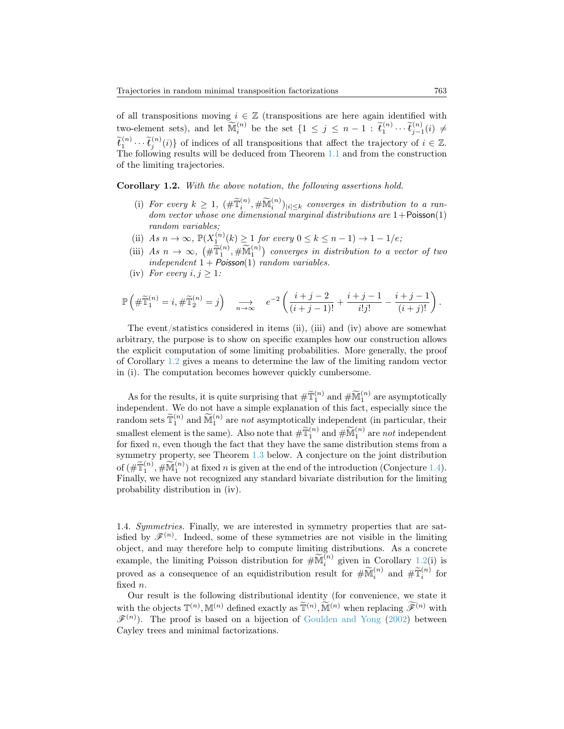of all transpositions moving  $i \in \mathbb{Z}$  (transpositions are here again identified with two-element sets), and let  $\widetilde{\mathbb{M}}_i^{(n)}$  be the set  $\{1 \leq j \leq n-1 : \widetilde{t}_1^{(n)} \cdots \widetilde{t}_{j-1}^{(n)}(i) \neq \widetilde{\mathbb{M}}_i^{(n)}\}$  $\widetilde{t}_1^{(n)} \cdots \widetilde{t}_j^{(n)}(i)$  of indices of all transpositions that affect the trajectory of  $i \in \mathbb{Z}$ . The following results will be deduced from Theorem [1.1](#page-2-0) and from the construction of the limiting trajectories.

<span id="page-4-0"></span>Corollary 1.2. With the above notation, the following assertions hold.

- (i) For every  $k \geq 1$ ,  $(\# \widetilde{\mathbb{T}}_i^{(n)}, \# \widetilde{\mathbb{M}}_i^{(n)})_{|i| \leq k}$  converges in distribution to a random vector whose one dimensional marginal distributions are  $1+$ Poisson $(1)$ random variables;
- (ii) As  $n \to \infty$ ,  $\mathbb{P}(X_1^{(n)}(k) \geq 1$  for every  $0 \leq k \leq n-1) \to 1-1/e$ ;
- (iii)  $As\ n \to \infty$ ,  $(\#\widetilde{\mathbb{T}}_1^{(n)}, \#\widetilde{\mathbb{M}}_1^{(n)})$  converges in distribution to a vector of two independent  $1 + Poisson(1)$  random variables.
- (iv) For every  $i, j \geq 1$ :

$$
\mathbb{P}\left(\#\widetilde{\mathbb{T}}_1^{(n)}=i,\#\widetilde{\mathbb{T}}_2^{(n)}=j\right) \xrightarrow[n\to\infty]{} e^{-2}\left(\frac{i+j-2}{(i+j-1)!}+\frac{i+j-1}{i!j!}-\frac{i+j-1}{(i+j)!}\right).
$$

The event/statistics considered in items (ii), (iii) and (iv) above are somewhat arbitrary, the purpose is to show on specific examples how our construction allows the explicit computation of some limiting probabilities. More generally, the proof of Corollary [1.2](#page-4-0) gives a means to determine the law of the limiting random vector in (i). The computation becomes however quickly cumbersome.

As for the results, it is quite surprising that  $\# \widetilde{T}_1^{(n)}$  and  $\# \widetilde{M}_1^{(n)}$  are asymptotically independent. We do not have a simple explanation of this fact, especially since the random sets  $\tilde{\mathbb{T}}_1^{(n)}$  and  $\tilde{\mathbb{M}}_1^{(n)}$  are not asymptotically independent (in particular, their smallest element is the same). Also note that  $\# \widetilde{T}_1^{(n)}$  and  $\# \widetilde{M}_1^{(n)}$  are not independent for fixed  $n$ , even though the fact that they have the same distribution stems from a symmetry property, see Theorem [1.3](#page-4-1) below. A conjecture on the joint distribution of  $(\#\widetilde{\mathbb{T}}_1^{(n)}, \#\widetilde{\mathbb{M}}_1^{(n)})$  at fixed *n* is given at the end of the introduction (Conjecture [1.4\)](#page-5-0). Finally, we have not recognized any standard bivariate distribution for the limiting probability distribution in (iv).

1.4. Symmetries. Finally, we are interested in symmetry properties that are satisfied by  $\mathscr{F}^{(n)}$ . Indeed, some of these symmetries are not visible in the limiting object, and may therefore help to compute limiting distributions. As a concrete example, the limiting Poisson distribution for  $\# \widetilde{\mathbb{M}}_i^{(n)}$  given in Corollary [1.2\(](#page-4-0)i) is proved as a consequence of an equidistribution result for  $\#\widetilde{\mathbb{M}}_i^{(n)}$  and  $\#\widetilde{\mathbb{T}}_i^{(n)}$  for fixed n.

<span id="page-4-1"></span>Our result is the following distributional identity (for convenience, we state it with the objects  $\mathbb{T}^{(n)}$ ,  $\mathbb{M}^{(n)}$  defined exactly as  $\widetilde{\mathbb{T}}^{(n)}$ ,  $\widetilde{\mathbb{M}}^{(n)}$  when replacing  $\widetilde{\mathscr{F}}^{(n)}$  with  $\mathscr{F}^{(n)}$ ). The proof is based on a bijection of [Goulden and Yong](#page-26-3) [\(2002\)](#page-26-3) between Cayley trees and minimal factorizations.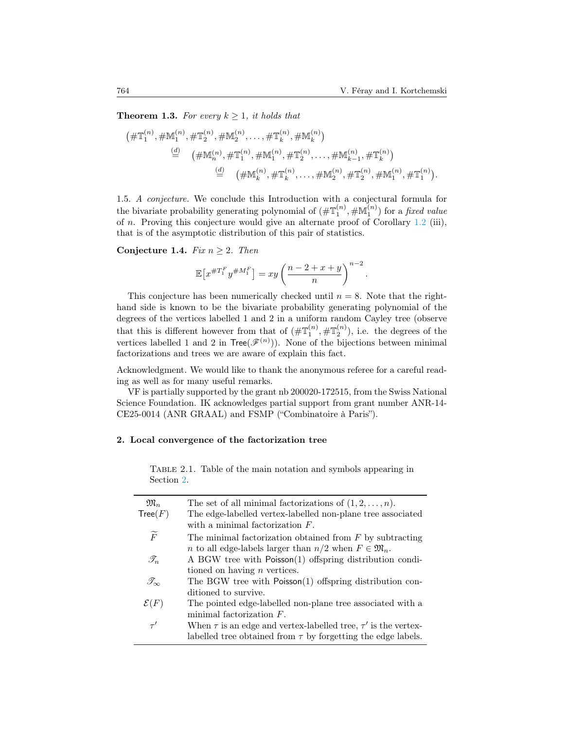**Theorem 1.3.** For every  $k \geq 1$ , it holds that

$$
(\#\mathbb{T}_1^{(n)}, \#\mathbb{M}_1^{(n)}, \#\mathbb{T}_2^{(n)}, \#\mathbb{M}_2^{(n)}, \dots, \#\mathbb{T}_k^{(n)}, \#\mathbb{M}_k^{(n)})
$$
  
\n
$$
\stackrel{(d)}{=} (\#\mathbb{M}_n^{(n)}, \#\mathbb{T}_1^{(n)}, \#\mathbb{M}_1^{(n)}, \#\mathbb{T}_2^{(n)}, \dots, \#\mathbb{M}_{k-1}^{(n)}, \#\mathbb{T}_k^{(n)})
$$
  
\n
$$
\stackrel{(d)}{=} (\#\mathbb{M}_k^{(n)}, \#\mathbb{T}_k^{(n)}, \dots, \#\mathbb{M}_2^{(n)}, \#\mathbb{T}_2^{(n)}, \#\mathbb{M}_1^{(n)}, \#\mathbb{T}_1^{(n)})
$$

1.5. A conjecture. We conclude this Introduction with a conjectural formula for the bivariate probability generating polynomial of  $(\#\mathbb{T}_1^{(n)}, \#\mathbb{M}_1^{(n)})$  for a *fixed value* of n. Proving this conjecture would give an alternate proof of Corollary  $1.2$  (iii), that is of the asymptotic distribution of this pair of statistics.

<span id="page-5-0"></span>Conjecture 1.4. Fix  $n \geq 2$ . Then

$$
\mathbb{E}\left[x^{\#T_1^F}y^{\#M_1^F}\right] = xy\left(\frac{n-2+x+y}{n}\right)^{n-2}.
$$

This conjecture has been numerically checked until  $n = 8$ . Note that the righthand side is known to be the bivariate probability generating polynomial of the degrees of the vertices labelled 1 and 2 in a uniform random Cayley tree (observe that this is different however from that of  $(\#\mathbb{T}_1^{(n)}, \#\mathbb{T}_2^{(n)})$ , i.e. the degrees of the vertices labelled 1 and 2 in  $Tree(\mathcal{F}^{(n)})$ . None of the bijections between minimal factorizations and trees we are aware of explain this fact.

Acknowledgment. We would like to thank the anonymous referee for a careful reading as well as for many useful remarks.

VF is partially supported by the grant nb 200020-172515, from the Swiss National Science Foundation. IK acknowledges partial support from grant number ANR-14- CE25-0014 (ANR GRAAL) and FSMP ("Combinatoire à Paris").

### <span id="page-5-1"></span>2. Local convergence of the factorization tree

Table 2.1. Table of the main notation and symbols appearing in Section [2.](#page-5-1)

| $\mathfrak{M}_n$       | The set of all minimal factorizations of $(1, 2, \ldots, n)$ .              |
|------------------------|-----------------------------------------------------------------------------|
| Tree(F)                | The edge-labelled vertex-labelled non-plane tree associated                 |
|                        | with a minimal factorization $F$ .                                          |
| $\widetilde{F}$        | The minimal factorization obtained from $F$ by subtracting                  |
|                        | <i>n</i> to all edge-labels larger than $n/2$ when $F \in \mathfrak{M}_n$ . |
| $\mathscr{T}_n$        | A BGW tree with Poisson(1) offspring distribution condi-                    |
|                        | tioned on having <i>n</i> vertices.                                         |
| $\mathscr{T}_{\infty}$ | The BGW tree with Poisson(1) offspring distribution con-                    |
|                        | ditioned to survive.                                                        |
| $\mathcal{E}(F)$       | The pointed edge-labelled non-plane tree associated with a                  |
|                        | minimal factorization $F$ .                                                 |
| $\tau'$                | When $\tau$ is an edge and vertex-labelled tree, $\tau'$ is the vertex-     |
|                        | labelled tree obtained from $\tau$ by forgetting the edge labels.           |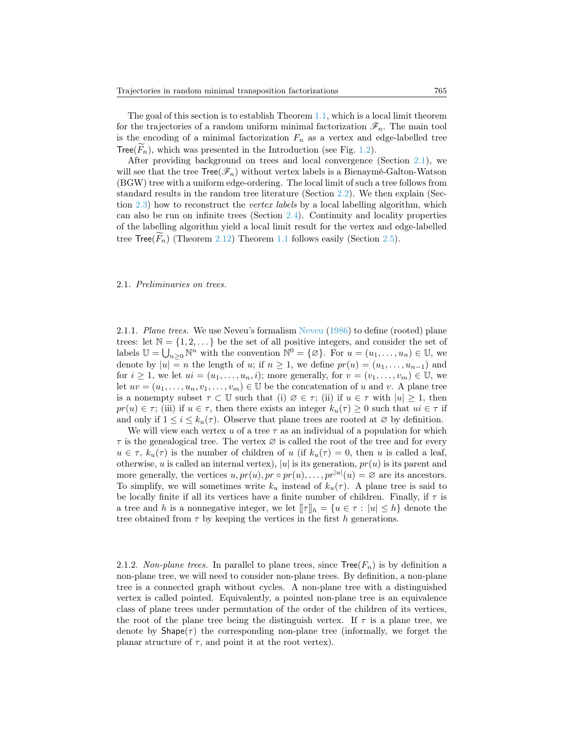The goal of this section is to establish Theorem [1.1,](#page-2-0) which is a local limit theorem for the trajectories of a random uniform minimal factorization  $\mathscr{F}_n$ . The main tool is the encoding of a minimal factorization  $F_n$  as a vertex and edge-labelled tree Tree( $F_n$ ), which was presented in the Introduction (see Fig. [1.2\)](#page-3-0).

After providing background on trees and local convergence (Section [2.1\)](#page-6-0), we will see that the tree  $Tree(\mathcal{F}_n)$  without vertex labels is a Bienaymé-Galton-Watson (BGW) tree with a uniform edge-ordering. The local limit of such a tree follows from standard results in the random tree literature (Section [2.2\)](#page-9-0). We then explain (Sec-tion [2.3\)](#page-11-0) how to reconstruct the *vertex labels* by a local labelling algorithm, which can also be run on infinite trees (Section [2.4\)](#page-13-0). Continuity and locality properties of the labelling algorithm yield a local limit result for the vertex and edge-labelled tree  $Tree(F_n)$  (Theorem [2.12\)](#page-16-0) Theorem [1.1](#page-2-0) follows easily (Section [2.5\)](#page-16-1).

#### <span id="page-6-0"></span>2.1. Preliminaries on trees.

2.1.1. Plane trees. We use Neveu's formalism [Neveu](#page-26-9) [\(1986\)](#page-26-9) to define (rooted) plane trees: let  $\mathbb{N} = \{1, 2, \dots\}$  be the set of all positive integers, and consider the set of labels  $\mathbb{U} = \bigcup_{n \geq 0} \mathbb{N}^n$  with the convention  $\mathbb{N}^0 = \{ \emptyset \}$ . For  $u = (u_1, \dots, u_n) \in \mathbb{U}$ , we denote by  $|u| = n$  the length of u; if  $n \geq 1$ , we define  $pr(u) = (u_1, \ldots, u_{n-1})$  and for  $i \geq 1$ , we let  $ui = (u_1, \ldots, u_n, i)$ ; more generally, for  $v = (v_1, \ldots, v_m) \in \mathbb{U}$ , we let  $uv = (u_1, \ldots, u_n, v_1, \ldots, v_m) \in \mathbb{U}$  be the concatenation of u and v. A plane tree is a nonempty subset  $\tau \subset \mathbb{U}$  such that (i)  $\varnothing \in \tau$ ; (ii) if  $u \in \tau$  with  $|u| \geq 1$ , then  $pr(u) \in \tau$ ; (iii) if  $u \in \tau$ , then there exists an integer  $k_u(\tau) \geq 0$  such that  $ui \in \tau$  if and only if  $1 \leq i \leq k_u(\tau)$ . Observe that plane trees are rooted at  $\varnothing$  by definition.

We will view each vertex u of a tree  $\tau$  as an individual of a population for which  $\tau$  is the genealogical tree. The vertex  $\varnothing$  is called the root of the tree and for every  $u \in \tau$ ,  $k_u(\tau)$  is the number of children of u (if  $k_u(\tau) = 0$ , then u is called a leaf, otherwise, u is called an internal vertex), |u| is its generation,  $pr(u)$  is its parent and more generally, the vertices  $u, pr(u), pr \circ pr(u), \ldots, pr^{|u|}(u) = \varnothing$  are its ancestors. To simplify, we will sometimes write  $k_u$  instead of  $k_u(\tau)$ . A plane tree is said to be locally finite if all its vertices have a finite number of children. Finally, if  $\tau$  is a tree and h is a nonnegative integer, we let  $\llbracket \tau \rrbracket_h = \{u \in \tau : |u| \leq h\}$  denote the tree obtained from  $\tau$  by keeping the vertices in the first h generations.

2.1.2. Non-plane trees. In parallel to plane trees, since  $Tree(F_n)$  is by definition a non-plane tree, we will need to consider non-plane trees. By definition, a non-plane tree is a connected graph without cycles. A non-plane tree with a distinguished vertex is called pointed. Equivalently, a pointed non-plane tree is an equivalence class of plane trees under permutation of the order of the children of its vertices, the root of the plane tree being the distinguish vertex. If  $\tau$  is a plane tree, we denote by  $\text{Shape}(\tau)$  the corresponding non-plane tree (informally, we forget the planar structure of  $\tau$ , and point it at the root vertex).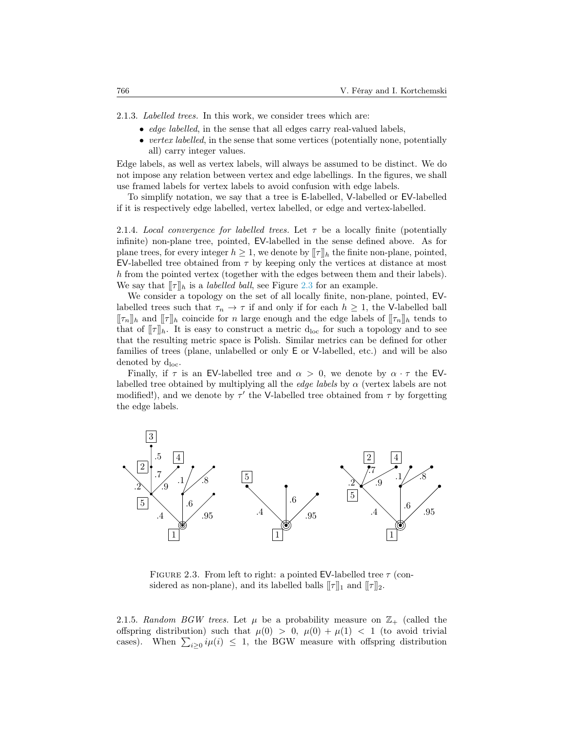2.1.3. Labelled trees. In this work, we consider trees which are:

- *edge labelled*, in the sense that all edges carry real-valued labels,
- vertex labelled, in the sense that some vertices (potentially none, potentially all) carry integer values.

Edge labels, as well as vertex labels, will always be assumed to be distinct. We do not impose any relation between vertex and edge labellings. In the figures, we shall use framed labels for vertex labels to avoid confusion with edge labels.

To simplify notation, we say that a tree is E-labelled, V-labelled or EV-labelled if it is respectively edge labelled, vertex labelled, or edge and vertex-labelled.

2.1.4. Local convergence for labelled trees. Let  $\tau$  be a locally finite (potentially infinite) non-plane tree, pointed, EV-labelled in the sense defined above. As for plane trees, for every integer  $h \geq 1$ , we denote by  $[\![\tau]\!]_h$  the finite non-plane, pointed, EV-labelled tree obtained from  $\tau$  by keeping only the vertices at distance at most h from the pointed vertex (together with the edges between them and their labels). We say that  $[\![\tau]\!]_h$  is a *labelled ball*, see Figure [2.3](#page-7-0) for an example.

We consider a topology on the set of all locally finite, non-plane, pointed, EVlabelled trees such that  $\tau_n \to \tau$  if and only if for each  $h \geq 1$ , the V-labelled ball  $[\![\tau_n]\!]_h$  and  $[\![\tau]\!]_h$  coincide for n large enough and the edge labels of  $[\![\tau_n]\!]_h$  tends to that of  $[\![\tau]\!]_h$ . It is easy to construct a metric  $d_{\text{loc}}$  for such a topology and to see that the resulting metric space is Polish. Similar metrics can be defined for other families of trees (plane, unlabelled or only E or V-labelled, etc.) and will be also denoted by  $d_{loc}$ .

Finally, if  $\tau$  is an EV-labelled tree and  $\alpha > 0$ , we denote by  $\alpha \cdot \tau$  the EVlabelled tree obtained by multiplying all the *edge labels* by  $\alpha$  (vertex labels are not modified!), and we denote by  $\tau'$  the V-labelled tree obtained from  $\tau$  by forgetting the edge labels.



<span id="page-7-0"></span>FIGURE 2.3. From left to right: a pointed EV-labelled tree  $\tau$  (considered as non-plane), and its labelled balls  $[\![\tau]\!]_1$  and  $[\![\tau]\!]_2$ .

2.1.5. Random BGW trees. Let  $\mu$  be a probability measure on  $\mathbb{Z}_+$  (called the offspring distribution) such that  $\mu(0) > 0$ ,  $\mu(0) + \mu(1) < 1$  (to avoid trivial cases). When  $\sum_{i\geq 0} i\mu(i) \leq 1$ , the BGW measure with offspring distribution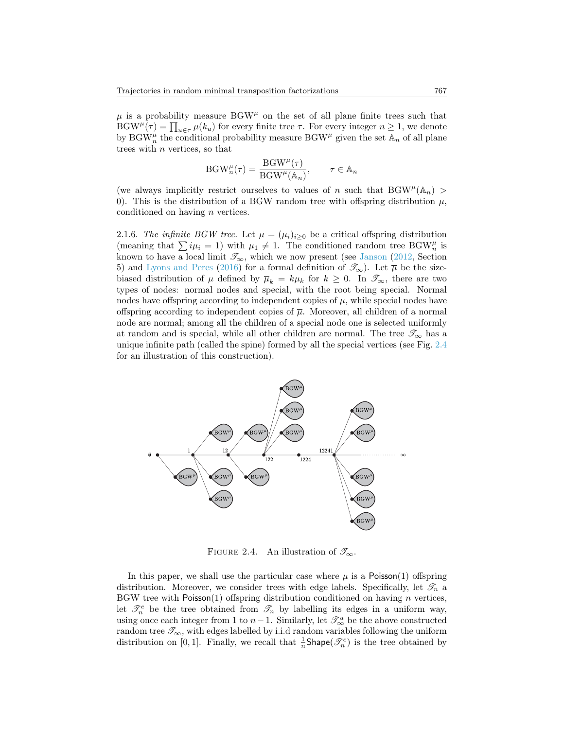$\mu$  is a probability measure BGW<sup> $\mu$ </sup> on the set of all plane finite trees such that  $BGW^{\mu}(\tau) = \prod_{u \in \tau} \mu(k_u)$  for every finite tree  $\tau$ . For every integer  $n \geq 1$ , we denote by BGW<sub>n</sub><sup> $\mu$ </sup> the conditional probability measure BGW<sup> $\mu$ </sup> given the set  $\mathbb{A}_n$  of all plane trees with n vertices, so that

$$
\text{BGW}_n^{\mu}(\tau) = \frac{\text{BGW}^{\mu}(\tau)}{\text{BGW}^{\mu}(\mathbb{A}_n)}, \qquad \tau \in \mathbb{A}_n
$$

(we always implicitly restrict ourselves to values of n such that  $BGW^{\mu}(\mathbb{A}_n)$ ) 0). This is the distribution of a BGW random tree with offspring distribution  $\mu$ , conditioned on having n vertices.

2.1.6. The infinite BGW tree. Let  $\mu = (\mu_i)_{i>0}$  be a critical offspring distribution (meaning that  $\sum i\mu_i = 1$ ) with  $\mu_1 \neq 1$ . The conditioned random tree BGW<sup> $\mu$ </sup> is known to have a local limit  $\mathscr{T}_{\infty}$ , which we now present (see [Janson](#page-26-10) [\(2012,](#page-26-10) Section 5) and [Lyons and Peres](#page-26-11) [\(2016\)](#page-26-11) for a formal definition of  $\mathcal{T}_{\infty}$ ). Let  $\overline{\mu}$  be the sizebiased distribution of  $\mu$  defined by  $\overline{\mu}_k = k\mu_k$  for  $k \geq 0$ . In  $\mathscr{T}_{\infty}$ , there are two types of nodes: normal nodes and special, with the root being special. Normal nodes have offspring according to independent copies of  $\mu$ , while special nodes have offspring according to independent copies of  $\overline{\mu}$ . Moreover, all children of a normal node are normal; among all the children of a special node one is selected uniformly at random and is special, while all other children are normal. The tree  $\mathscr{T}_{\infty}$  has a unique infinite path (called the spine) formed by all the special vertices (see Fig. [2.4](#page-8-0) for an illustration of this construction).



<span id="page-8-0"></span>FIGURE 2.4. An illustration of  $\mathscr{T}_{\infty}$ .

In this paper, we shall use the particular case where  $\mu$  is a Poisson(1) offspring distribution. Moreover, we consider trees with edge labels. Specifically, let  $\mathscr{T}_n$  a BGW tree with Poisson(1) offspring distribution conditioned on having  $n$  vertices, let  $\mathcal{T}_n^e$  be the tree obtained from  $\mathcal{T}_n$  by labelling its edges in a uniform way, using once each integer from 1 to  $n-1$ . Similarly, let  $\mathcal{T}^u_\infty$  be the above constructed random tree  $\mathcal{T}_{\infty}$ , with edges labelled by i.i.d random variables following the uniform distribution on [0, 1]. Finally, we recall that  $\frac{1}{n}$ Shape( $\mathcal{F}_n^e$ ) is the tree obtained by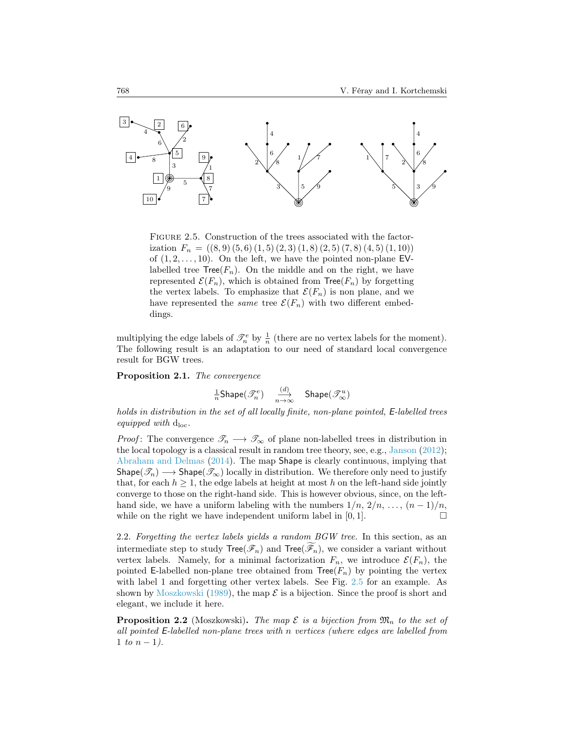

<span id="page-9-1"></span>FIGURE 2.5. Construction of the trees associated with the factorization  $F_n = ((8, 9), (5, 6), (1, 5), (2, 3), (1, 8), (2, 5), (7, 8), (4, 5), (1, 10))$ of  $(1, 2, \ldots, 10)$ . On the left, we have the pointed non-plane EVlabelled tree  $Tree(F_n)$ . On the middle and on the right, we have represented  $\mathcal{E}(F_n)$ , which is obtained from  $Tree(F_n)$  by forgetting the vertex labels. To emphasize that  $\mathcal{E}(F_n)$  is non plane, and we have represented the *same* tree  $\mathcal{E}(F_n)$  with two different embeddings.

multiplying the edge labels of  $\mathcal{I}_n^e$  by  $\frac{1}{n}$  (there are no vertex labels for the moment). The following result is an adaptation to our need of standard local convergence result for BGW trees.

<span id="page-9-3"></span>Proposition 2.1. The convergence

$$
\tfrac{1}{n}\mathsf{Shape}(\mathscr{T}_n^e) \quad \tfrac{(d)}{n\to\infty} \quad \mathsf{Shape}(\mathscr{T}_\infty^u)
$$

holds in distribution in the set of all locally finite, non-plane pointed, E-labelled trees equipped with  $d_{loc}$ .

*Proof*: The convergence  $\mathscr{T}_n \longrightarrow \mathscr{T}_\infty$  of plane non-labelled trees in distribution in the local topology is a classical result in random tree theory, see, e.g., [Janson](#page-26-10) [\(2012\)](#page-26-10); [Abraham and Delmas](#page-25-1) [\(2014\)](#page-25-1). The map Shape is clearly continuous, implying that Shape( $\mathcal{T}_n$ ) → Shape( $\mathcal{T}_{\infty}$ ) locally in distribution. We therefore only need to justify that, for each  $h \geq 1$ , the edge labels at height at most h on the left-hand side jointly converge to those on the right-hand side. This is however obvious, since, on the lefthand side, we have a uniform labeling with the numbers  $1/n, 2/n, \ldots, (n-1)/n$ , while on the right we have independent uniform label in  $[0, 1]$ .

<span id="page-9-0"></span>2.2. Forgetting the vertex labels yields a random BGW tree. In this section, as an intermediate step to study  $Tree(\mathcal{F}_n)$  and  $Tree(\mathcal{F}_n)$ , we consider a variant without vertex labels. Namely, for a minimal factorization  $F_n$ , we introduce  $\mathcal{E}(F_n)$ , the pointed E-labelled non-plane tree obtained from  $Tree(F_n)$  by pointing the vertex with label 1 and forgetting other vertex labels. See Fig. [2.5](#page-9-1) for an example. As shown by [Moszkowski](#page-26-1) [\(1989\)](#page-26-1), the map  $\mathcal E$  is a bijection. Since the proof is short and elegant, we include it here.

<span id="page-9-2"></span>**Proposition 2.2** (Moszkowski). The map  $\mathcal E$  is a bijection from  $\mathfrak{M}_n$  to the set of all pointed E-labelled non-plane trees with n vertices (where edges are labelled from 1 to  $n - 1$ ).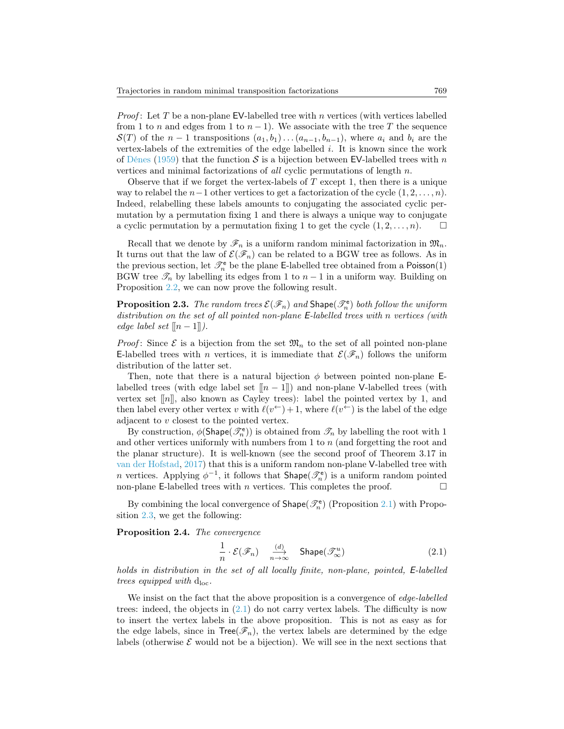*Proof*: Let T be a non-plane EV-labelled tree with n vertices (with vertices labelled from 1 to n and edges from 1 to  $n-1$ ). We associate with the tree T the sequence  $\mathcal{S}(T)$  of the  $n-1$  transpositions  $(a_1, b_1) \dots (a_{n-1}, b_{n-1})$ , where  $a_i$  and  $b_i$  are the vertex-labels of the extremities of the edge labelled i. It is known since the work of [Dénes](#page-26-0) [\(1959\)](#page-26-0) that the function S is a bijection between EV-labelled trees with n vertices and minimal factorizations of all cyclic permutations of length n.

Observe that if we forget the vertex-labels of  $T$  except 1, then there is a unique way to relabel the  $n-1$  other vertices to get a factorization of the cycle  $(1, 2, \ldots, n)$ . Indeed, relabelling these labels amounts to conjugating the associated cyclic permutation by a permutation fixing 1 and there is always a unique way to conjugate a cyclic permutation by a permutation fixing 1 to get the cycle  $(1, 2, \ldots, n)$ .

Recall that we denote by  $\mathscr{F}_n$  is a uniform random minimal factorization in  $\mathfrak{M}_n$ . It turns out that the law of  $\mathcal{E}(\mathcal{F}_n)$  can be related to a BGW tree as follows. As in the previous section, let  $\mathcal{I}_n^e$  be the plane E-labelled tree obtained from a Poisson(1) BGW tree  $\mathcal{T}_n$  by labelling its edges from 1 to  $n-1$  in a uniform way. Building on Proposition [2.2,](#page-9-2) we can now prove the following result.

<span id="page-10-1"></span>**Proposition 2.3.** The random trees  $\mathcal{E}(\mathcal{F}_n)$  and  $\textsf{Shape}(\mathcal{F}_n^e)$  both follow the uniform distribution on the set of all pointed non-plane E-labelled trees with n vertices (with edge label set  $[|n-1|]$ .

*Proof:* Since  $\mathcal E$  is a bijection from the set  $\mathfrak{M}_n$  to the set of all pointed non-plane E-labelled trees with *n* vertices, it is immediate that  $\mathcal{E}(\mathcal{F}_n)$  follows the uniform distribution of the latter set.

Then, note that there is a natural bijection  $\phi$  between pointed non-plane Elabelled trees (with edge label set  $[[n-1]]$ ) and non-plane V-labelled trees (with vertex set  $\lceil n \rceil$ , also known as Cayley trees): label the pointed vertex by 1, and then label every other vertex v with  $\ell(v^{\leftarrow}) + 1$ , where  $\ell(v^{\leftarrow})$  is the label of the edge adjacent to v closest to the pointed vertex.

By construction,  $\phi(\mathsf{Shape}(\mathscr{T}_n^e))$  is obtained from  $\mathscr{T}_n$  by labelling the root with 1 and other vertices uniformly with numbers from 1 to n (and forgetting the root and the planar structure). It is well-known (see the second proof of Theorem 3.17 in [van der Hofstad,](#page-26-12) [2017\)](#page-26-12) that this is a uniform random non-plane V-labelled tree with *n* vertices. Applying  $\phi^{-1}$ , it follows that  $\text{Shape}(\mathcal{T}_n^e)$  is a uniform random pointed non-plane E-labelled trees with n vertices. This completes the proof.  $\Box$ 

By combining the local convergence of  $\mathsf{Shape}(\mathscr{T}_n^e)$  (Proposition [2.1\)](#page-9-3) with Proposition [2.3,](#page-10-1) we get the following:

<span id="page-10-0"></span>Proposition 2.4. The convergence

<span id="page-10-2"></span>
$$
\frac{1}{n} \cdot \mathcal{E}(\mathscr{F}_n) \quad \underset{n \to \infty}{\xrightarrow{\text{(d)}}} \quad \text{Shape}(\mathscr{T}_{\infty}^u) \tag{2.1}
$$

holds in distribution in the set of all locally finite, non-plane, pointed, E-labelled trees equipped with  $d_{loc}$ .

We insist on the fact that the above proposition is a convergence of edge-labelled trees: indeed, the objects in [\(2.1\)](#page-10-2) do not carry vertex labels. The difficulty is now to insert the vertex labels in the above proposition. This is not as easy as for the edge labels, since in  $Tree(\mathcal{F}_n)$ , the vertex labels are determined by the edge labels (otherwise  $\mathcal E$  would not be a bijection). We will see in the next sections that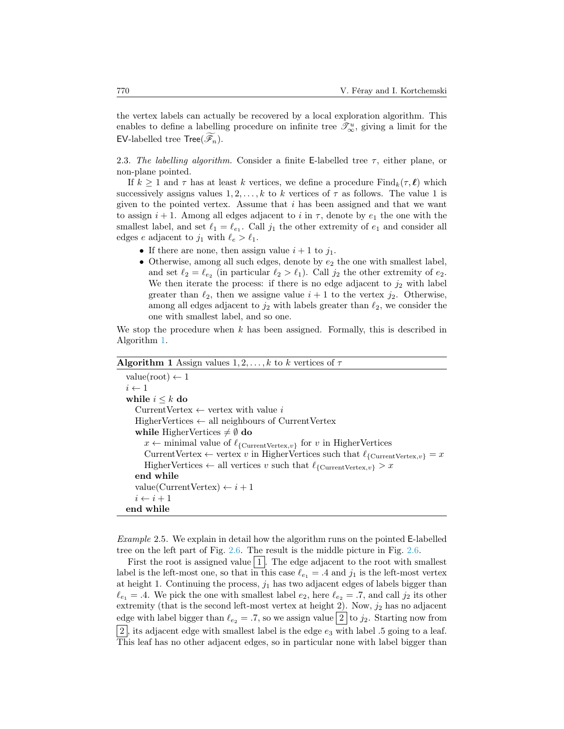the vertex labels can actually be recovered by a local exploration algorithm. This enables to define a labelling procedure on infinite tree  $\mathcal{I}^u_{\infty}$ , giving a limit for the EV-labelled tree  $\mathsf{Tree}(\mathscr{F}_n)$ .

<span id="page-11-0"></span>2.3. The labelling algorithm. Consider a finite E-labelled tree  $\tau$ , either plane, or non-plane pointed.

If  $k \geq 1$  and  $\tau$  has at least k vertices, we define a procedure  $\text{Find}_k(\tau, \ell)$  which successively assigns values  $1, 2, \ldots, k$  to k vertices of  $\tau$  as follows. The value 1 is given to the pointed vertex. Assume that  $i$  has been assigned and that we want to assign  $i + 1$ . Among all edges adjacent to i in  $\tau$ , denote by  $e_1$  the one with the smallest label, and set  $\ell_1 = \ell_{e_1}$ . Call  $j_1$  the other extremity of  $e_1$  and consider all edges e adjacent to  $j_1$  with  $\ell_e > \ell_1$ .

- If there are none, then assign value  $i + 1$  to  $j_1$ .
- Otherwise, among all such edges, denote by  $e_2$  the one with smallest label, and set  $\ell_2 = \ell_{e_2}$  (in particular  $\ell_2 > \ell_1$ ). Call  $j_2$  the other extremity of  $e_2$ . We then iterate the process: if there is no edge adjacent to  $j_2$  with label greater than  $\ell_2$ , then we assigne value  $i + 1$  to the vertex  $j_2$ . Otherwise, among all edges adjacent to  $j_2$  with labels greater than  $\ell_2$ , we consider the one with smallest label, and so one.

We stop the procedure when  $k$  has been assigned. Formally, this is described in Algorithm [1.](#page-11-1)

# <span id="page-11-1"></span>Algorithm 1 Assign values  $1, 2, \ldots, k$  to k vertices of  $\tau$  $value(root) \leftarrow 1$  $i \leftarrow 1$ while  $i \leq k$  do CurrentVertex  $\leftarrow$  vertex with value i HigherVertices ← all neighbours of CurrentVertex while HigherVertices  $\neq \emptyset$  do  $x \leftarrow$  minimal value of  $\ell_{\{\text{CurrentVertex},v\}}$  for v in HigherVertices CurrentVertex ← vertex v in HigherVertices such that  $\ell_{\text{fCurrentVertex},v} = x$ HigherVertices  $\leftarrow$  all vertices v such that  $\ell_{\{\text{CurrentVertex},v\}} > x$ end while value(CurrentVertex)  $\leftarrow i+1$  $i \leftarrow i + 1$ end while

Example 2.5. We explain in detail how the algorithm runs on the pointed E-labelled tree on the left part of Fig. [2.6.](#page-12-0) The result is the middle picture in Fig. [2.6.](#page-12-0)

First the root is assigned value  $|1|$ . The edge adjacent to the root with smallest label is the left-most one, so that in this case  $\ell_{e_1} = .4$  and  $j_1$  is the left-most vertex at height 1. Continuing the process,  $j_1$  has two adjacent edges of labels bigger than  $\ell_{e_1} = .4$ . We pick the one with smallest label  $e_2$ , here  $\ell_{e_2} = .7$ , and call  $j_2$  its other extremity (that is the second left-most vertex at height 2). Now,  $j_2$  has no adjacent edge with label bigger than  $\ell_{e_2} = .7$ , so we assign value 2 to  $j_2$ . Starting now from |2|, its adjacent edge with smallest label is the edge  $e_3$  with label .5 going to a leaf. This leaf has no other adjacent edges, so in particular none with label bigger than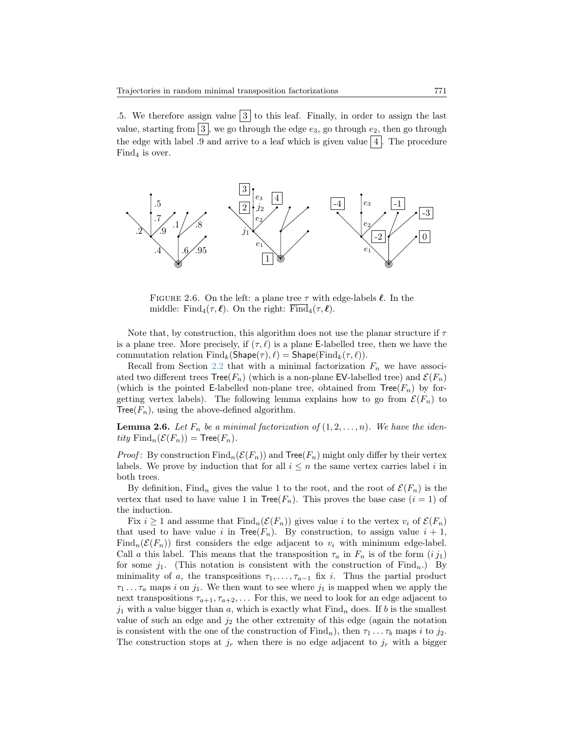.5. We therefore assign value  $|3|$  to this leaf. Finally, in order to assign the last value, starting from  $\boxed{3}$ , we go through the edge  $e_3$ , go through  $e_2$ , then go through the edge with label .9 and arrive to a leaf which is given value  $\boxed{4}$ . The procedure  $Find_4$  is over.



<span id="page-12-0"></span>FIGURE 2.6. On the left: a plane tree  $\tau$  with edge-labels  $\ell$ . In the middle: Find<sub>4</sub>( $\tau$ , $\ell$ ). On the right: Find<sub>4</sub>( $\tau$ , $\ell$ ).

Note that, by construction, this algorithm does not use the planar structure if  $\tau$ is a plane tree. More precisely, if  $(\tau, \ell)$  is a plane E-labelled tree, then we have the commutation relation  $\text{Find}_k(\text{Shape}(\tau), \ell) = \text{Shape}(\text{Find}_k(\tau, \ell)).$ 

Recall from Section [2.2](#page-9-0) that with a minimal factorization  $F_n$  we have associated two different trees  $Tree(F_n)$  (which is a non-plane EV-labelled tree) and  $\mathcal{E}(F_n)$ (which is the pointed E-labelled non-plane tree, obtained from  $Tree(F_n)$  by forgetting vertex labels). The following lemma explains how to go from  $\mathcal{E}(F_n)$  to Tree( $F_n$ ), using the above-defined algorithm.

<span id="page-12-1"></span>**Lemma 2.6.** Let  $F_n$  be a minimal factorization of  $(1, 2, \ldots, n)$ . We have the identity  $\text{Find}_n(\mathcal{E}(F_n)) = \text{Tree}(F_n)$ .

*Proof*: By construction  $\text{Find}_n(\mathcal{E}(F_n))$  and  $\text{Tree}(F_n)$  might only differ by their vertex labels. We prove by induction that for all  $i \leq n$  the same vertex carries label i in both trees.

By definition, Find<sub>n</sub> gives the value 1 to the root, and the root of  $\mathcal{E}(F_n)$  is the vertex that used to have value 1 in  $Tree(F_n)$ . This proves the base case  $(i = 1)$  of the induction.

Fix  $i \geq 1$  and assume that  $\text{Find}_n(\mathcal{E}(F_n))$  gives value i to the vertex  $v_i$  of  $\mathcal{E}(F_n)$ that used to have value i in  $Tree(F_n)$ . By construction, to assign value  $i + 1$ , Find<sub>n</sub>( $\mathcal{E}(F_n)$ ) first considers the edge adjacent to  $v_i$  with minimum edge-label. Call a this label. This means that the transposition  $\tau_a$  in  $F_n$  is of the form  $(i j_1)$ for some  $j_1$ . (This notation is consistent with the construction of Find<sub>n</sub>.) By minimality of a, the transpositions  $\tau_1, \ldots, \tau_{a-1}$  fix i. Thus the partial product  $\tau_1 \ldots \tau_a$  maps i on  $j_1$ . We then want to see where  $j_1$  is mapped when we apply the next transpositions  $\tau_{a+1}, \tau_{a+2}, \ldots$  For this, we need to look for an edge adjacent to  $j_1$  with a value bigger than a, which is exactly what Find<sub>n</sub> does. If b is the smallest value of such an edge and  $j_2$  the other extremity of this edge (again the notation is consistent with the one of the construction of  $\text{Find}_n$ ), then  $\tau_1 \ldots \tau_b$  maps i to j<sub>2</sub>. The construction stops at  $j_r$  when there is no edge adjacent to  $j_r$  with a bigger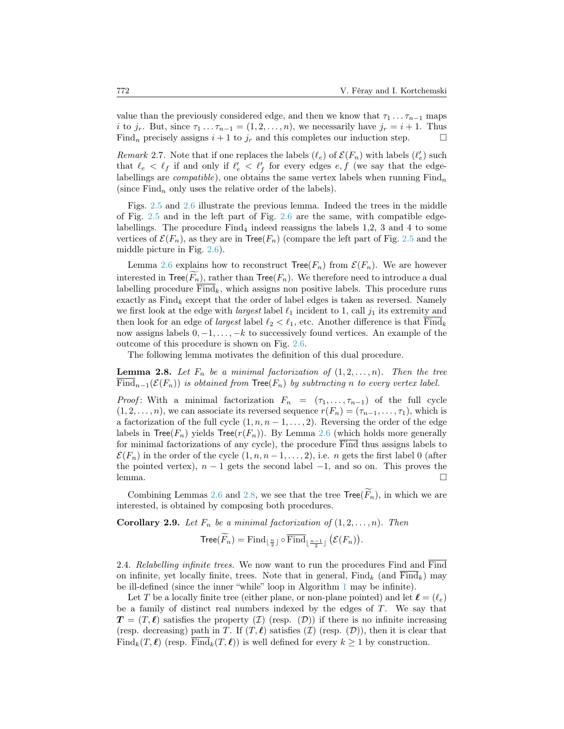value than the previously considered edge, and then we know that  $\tau_1 \dots \tau_{n-1}$  maps i to j<sub>r</sub>. But, since  $\tau_1 \ldots \tau_{n-1} = (1, 2, \ldots, n)$ , we necessarily have  $j_r = i + 1$ . Thus Find<sub>n</sub> precisely assigns  $i + 1$  to  $j_r$  and this completes our induction step.

<span id="page-13-2"></span>Remark 2.7. Note that if one replaces the labels  $(\ell_e)$  of  $\mathcal{E}(F_n)$  with labels  $(\ell'_e)$  such that  $\ell_e < \ell_f$  if and only if  $\ell'_e < \ell'_f$  for every edges  $e, f$  (we say that the edgelabellings are *compatible*), one obtains the same vertex labels when running  $\text{Find}_n$ (since  $\text{Find}_n$  only uses the relative order of the labels).

Figs. [2.5](#page-9-1) and [2.6](#page-12-0) illustrate the previous lemma. Indeed the trees in the middle of Fig. [2.5](#page-9-1) and in the left part of Fig. [2.6](#page-12-0) are the same, with compatible edgelabellings. The procedure  $Find_4$  indeed reassigns the labels 1,2, 3 and 4 to some vertices of  $\mathcal{E}(F_n)$ , as they are in Tree( $F_n$ ) (compare the left part of Fig. [2.5](#page-9-1) and the middle picture in Fig. [2.6\)](#page-12-0).

Lemma [2.6](#page-12-1) explains how to reconstruct  $Tree(F_n)$  from  $\mathcal{E}(F_n)$ . We are however interested in  $Tree(\widetilde{F_n})$ , rather than  $Tree(F_n)$ . We therefore need to introduce a dual labelling procedure  $\text{Find}_k$ , which assigns non positive labels. This procedure runs exactly as  $\text{Find}_k$  except that the order of label edges is taken as reversed. Namely we first look at the edge with *largest* label  $\ell_1$  incident to 1, call  $j_1$  its extremity and then look for an edge of *largest* label  $\ell_2 < \ell_1$ , etc. Another difference is that Find<sub>k</sub> now assigns labels  $0, -1, \ldots, -k$  to successively found vertices. An example of the outcome of this procedure is shown on Fig. [2.6.](#page-12-0)

The following lemma motivates the definition of this dual procedure.

<span id="page-13-1"></span>**Lemma 2.8.** Let  $F_n$  be a minimal factorization of  $(1, 2, \ldots, n)$ . Then the tree  $\overline{\text{Find}}_{n-1}(\mathcal{E}(F_n))$  is obtained from  $\text{Tree}(F_n)$  by subtracting n to every vertex label.

*Proof*: With a minimal factorization  $F_n = (\tau_1, \ldots, \tau_{n-1})$  of the full cycle  $(1, 2, \ldots, n)$ , we can associate its reversed sequence  $r(F_n) = (\tau_{n-1}, \ldots, \tau_1)$ , which is a factorization of the full cycle  $(1, n, n-1, \ldots, 2)$ . Reversing the order of the edge labels in  $Tree(F_n)$  yields  $Tree(r(F_n))$ . By Lemma [2.6](#page-12-1) (which holds more generally for minimal factorizations of any cycle), the procedure Find thus assigns labels to  $\mathcal{E}(F_n)$  in the order of the cycle  $(1, n, n-1, \ldots, 2)$ , i.e. *n* gets the first label 0 (after the pointed vertex),  $n-1$  gets the second label  $-1$ , and so on. This proves the lemma. □

Combining Lemmas [2.6](#page-12-1) and [2.8,](#page-13-1) we see that the tree  $Tree(F_n)$ , in which we are interested, is obtained by composing both procedures.

<span id="page-13-3"></span>**Corollary 2.9.** Let  $F_n$  be a minimal factorization of  $(1, 2, \ldots, n)$ . Then

$$
\mathsf{Tree}(\widetilde{F}_n) = \mathrm{Find}_{\lfloor \frac{n}{2} \rfloor} \circ \overline{\mathrm{Find}}_{\lfloor \frac{n-1}{2} \rfloor} (\mathcal{E}(F_n)).
$$

<span id="page-13-0"></span>2.4. Relabelling infinite trees. We now want to run the procedures Find and Find on infinite, yet locally finite, trees. Note that in general,  $\text{Find}_k$  (and  $\text{Find}_k$ ) may be ill-defined (since the inner "while" loop in Algorithm [1](#page-11-1) may be infinite).

Let T be a locally finite tree (either plane, or non-plane pointed) and let  $\ell = (\ell_e)$ be a family of distinct real numbers indexed by the edges of  $T$ . We say that  $T = (T, \ell)$  satisfies the property  $(\mathcal{I})$  (resp.  $(\mathcal{D})$ ) if there is no infinite increasing (resp. decreasing) path in T. If  $(T, \ell)$  satisfies  $(T)$  (resp.  $(\mathcal{D})$ ), then it is clear that Find<sub>k</sub> $(T, \ell)$  (resp. Find<sub>k</sub> $(T, \ell)$ ) is well defined for every  $k \geq 1$  by construction.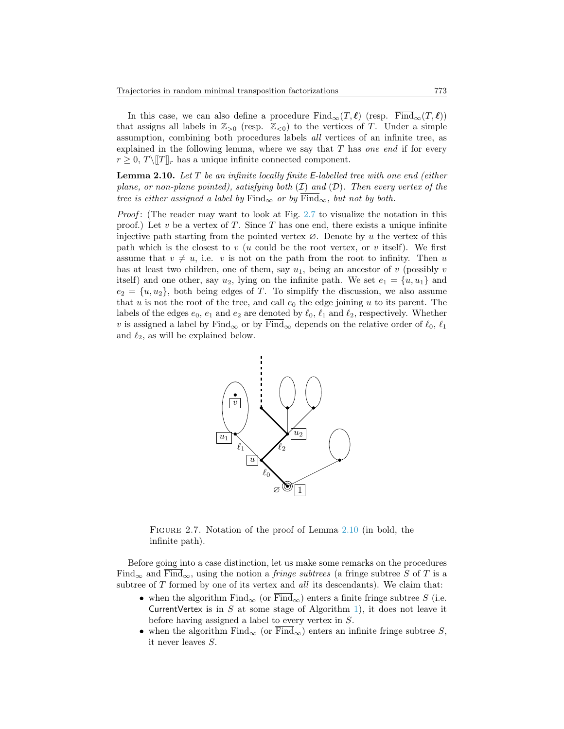In this case, we can also define a procedure  $\text{Find}_{\infty}(T, \ell)$  (resp.  $\text{Find}_{\infty}(T, \ell)$ ) that assigns all labels in  $\mathbb{Z}_{>0}$  (resp.  $\mathbb{Z}_{<0}$ ) to the vertices of T. Under a simple assumption, combining both procedures labels all vertices of an infinite tree, as explained in the following lemma, where we say that  $T$  has one end if for every  $r \geq 0$ ,  $T \setminus [T]_r$  has a unique infinite connected component.

<span id="page-14-1"></span>**Lemma 2.10.** Let  $T$  be an infinite locally finite E-labelled tree with one end (either plane, or non-plane pointed), satisfying both  $(\mathcal{I})$  and  $(\mathcal{D})$ . Then every vertex of the tree is either assigned a label by  $\text{Find}_{\infty}$  or by  $\overline{\text{Find}_{\infty}}$ , but not by both.

Proof: (The reader may want to look at Fig. [2.7](#page-14-0) to visualize the notation in this proof.) Let v be a vertex of T. Since T has one end, there exists a unique infinite injective path starting from the pointed vertex  $\varnothing$ . Denote by u the vertex of this path which is the closest to  $v$  (u could be the root vertex, or  $v$  itself). We first assume that  $v \neq u$ , i.e. v is not on the path from the root to infinity. Then u has at least two children, one of them, say  $u_1$ , being an ancestor of v (possibly v itself) and one other, say  $u_2$ , lying on the infinite path. We set  $e_1 = \{u, u_1\}$  and  $e_2 = \{u, u_2\}$ , both being edges of T. To simplify the discussion, we also assume that u is not the root of the tree, and call  $e_0$  the edge joining u to its parent. The labels of the edges  $e_0, e_1$  and  $e_2$  are denoted by  $\ell_0, \ell_1$  and  $\ell_2$ , respectively. Whether v is assigned a label by Find<sub>∞</sub> or by  $\overline{\text{Find}}_{\infty}$  depends on the relative order of  $\ell_0, \ell_1$ and  $\ell_2$ , as will be explained below.



<span id="page-14-0"></span>FIGURE 2.7. Notation of the proof of Lemma [2.10](#page-14-1) (in bold, the infinite path).

Before going into a case distinction, let us make some remarks on the procedures Find<sub>∞</sub> and  $\overline{\text{Find}}_{\infty}$ , using the notion a *fringe subtrees* (a fringe subtree S of T is a subtree of  $T$  formed by one of its vertex and all its descendants). We claim that:

- when the algorithm  $\text{Find}_{\infty}$  (or  $\overline{\text{Find}}_{\infty}$ ) enters a finite fringe subtree S (i.e. CurrentVertex is in S at some stage of Algorithm [1\)](#page-11-1), it does not leave it before having assigned a label to every vertex in S.
- when the algorithm  $Find_{\infty}$  (or  $Find_{\infty}$ ) enters an infinite fringe subtree S, it never leaves S.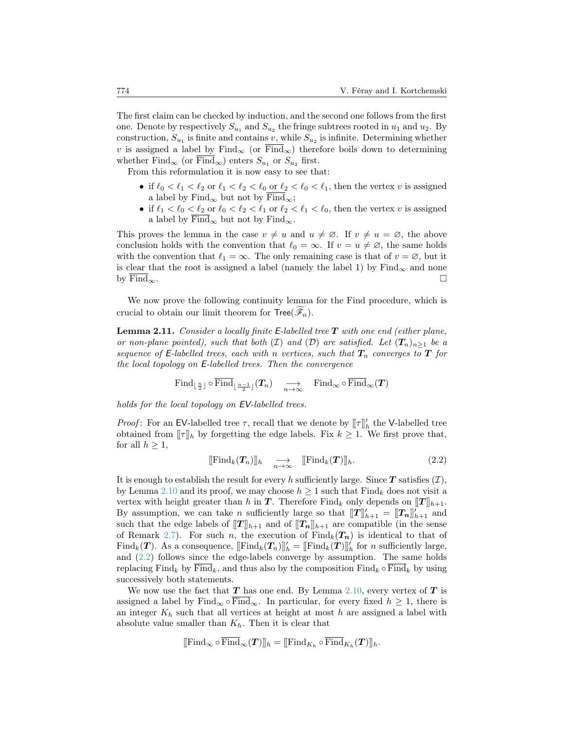The first claim can be checked by induction, and the second one follows from the first one. Denote by respectively  $S_{u_1}$  and  $S_{u_2}$  the fringe subtrees rooted in  $u_1$  and  $u_2$ . By construction,  $S_{u_1}$  is finite and contains v, while  $S_{u_2}$  is infinite. Determining whether v is assigned a label by Find<sub>∞</sub> (or  $\overline{\text{Find}}_{\infty}$ ) therefore boils down to determining whether  $\text{Find}_{\infty}$  (or  $\text{Find}_{\infty}$ ) enters  $S_{u_1}$  or  $S_{u_2}$  first.

From this reformulation it is now easy to see that:

- if  $\ell_0 < \ell_1 < \ell_2$  or  $\ell_1 < \ell_2 < \ell_0$  or  $\ell_2 < \ell_0 < \ell_1$ , then the vertex v is assigned a label by Find<sub>∞</sub> but not by  $\overline{\text{Find}}_{\infty}$ ;
- if  $\ell_1 < \ell_0 < \ell_2$  or  $\ell_0 < \ell_2 < \ell_1$  or  $\ell_2 < \ell_1 < \ell_0$ , then the vertex v is assigned a label by  $\overline{\text{Find}}_{\infty}$  but not by  $\text{Find}_{\infty}$ .

This proves the lemma in the case  $v \neq u$  and  $u \neq \emptyset$ . If  $v \neq u = \emptyset$ , the above conclusion holds with the convention that  $\ell_0 = \infty$ . If  $v = u \neq \emptyset$ , the same holds with the convention that  $\ell_1 = \infty$ . The only remaining case is that of  $v = \emptyset$ , but it is clear that the root is assigned a label (namely the label 1) by  $\text{Find}_{\infty}$  and none by  $\overline{\text{Find}}_{\infty}$ .

We now prove the following continuity lemma for the Find procedure, which is crucial to obtain our limit theorem for  $Tree(\mathcal{F}_n)$ .

<span id="page-15-1"></span>**Lemma 2.11.** Consider a locally finite E-labelled tree  $T$  with one end (either plane, or non-plane pointed), such that both (I) and (D) are satisfied. Let  $(T_n)_{n>1}$  be a sequence of E-labelled trees, each with n vertices, such that  $T_n$  converges to  $T$  for the local topology on E-labelled trees. Then the convergence

$$
\mathrm{Find}_{\lfloor \frac{n}{2} \rfloor} \circ \overline{\mathrm{Find}}_{\lfloor \frac{n-1}{2} \rfloor}(T_n) \quad \underset{n \to \infty}{\longrightarrow} \quad \mathrm{Find}_{\infty} \circ \overline{\mathrm{Find}}_{\infty}(T)
$$

holds for the local topology on EV-labelled trees.

*Proof*: For an EV-labelled tree  $\tau$ , recall that we denote by  $[\![\tau]\!]_h'$  the V-labelled tree obtained from  $[\![\tau]\!]_h$  by forgetting the edge labels. Fix  $k \geq 1$ . We first prove that, for all  $h \geq 1$ ,

<span id="page-15-0"></span>
$$
[\![\mathrm{Find}_k(T_n)]\!]_h \quad \underset{n\to\infty}{\longrightarrow} \quad [\![\mathrm{Find}_k(T)]\!]_h. \tag{2.2}
$$

It is enough to establish the result for every h sufficiently large. Since  $T$  satisfies  $(T)$ , by Lemma [2.10](#page-14-1) and its proof, we may choose  $h \ge 1$  such that  $\text{Find}_k$  does not visit a vertex with height greater than h in  $T$ . Therefore Find<sub>k</sub> only depends on  $[T]_{h+1}$ . By assumption, we can take *n* sufficiently large so that  $[[T]]'_{h+1} = [[T_n]]'_{h+1}$  and such that the edge labels of  $[[T]]_{h+1}$  and of  $[[T_n]]_{h+1}$  are compatible (in the sense of Remark [2.7\)](#page-13-2). For such n, the execution of  $\text{Find}_k(T_n)$  is identical to that of Find<sub>k</sub>(**T**). As a consequence,  $[\text{Find}_k(T_n)]_h' = [\text{Find}_k(T)]_h'$  for n sufficiently large, and [\(2.2\)](#page-15-0) follows since the edge-labels converge by assumption. The same holds replacing Find<sub>k</sub> by Find<sub>k</sub>, and thus also by the composition Find<sub>k</sub>  $\circ$  Find<sub>k</sub> by using successively both statements.

We now use the fact that  $T$  has one end. By Lemma [2.10,](#page-14-1) every vertex of  $T$  is assigned a label by  $\text{Find}_{\infty} \circ \overline{\text{Find}}_{\infty}$ . In particular, for every fixed  $h \geq 1$ , there is an integer  $K_h$  such that all vertices at height at most h are assigned a label with absolute value smaller than  $K_h$ . Then it is clear that

$$
[\![\mathrm{Find}_\infty\circ\overline{\mathrm{Find}}_\infty(\boldsymbol{T})]\!]_h = [\![\mathrm{Find}_{K_h}\circ\overline{\mathrm{Find}}_{K_h}(\boldsymbol{T})]\!]_h.
$$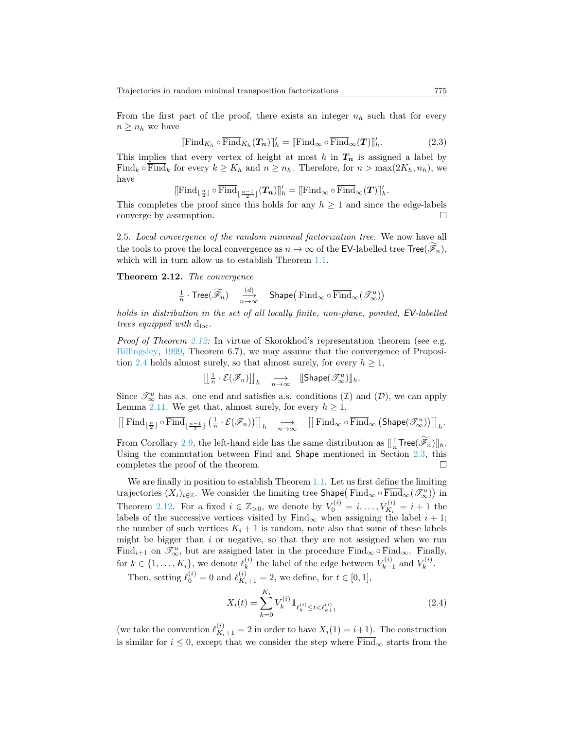From the first part of the proof, there exists an integer  $n_h$  such that for every  $n \geq n_h$  we have

$$
[[\mathrm{Find}_{K_h} \circ \overline{\mathrm{Find}}_{K_h}(T_n)]]_h' = [[\mathrm{Find}_{\infty} \circ \overline{\mathrm{Find}}_{\infty}(T)]]_h'.
$$
 (2.3)

This implies that every vertex of height at most h in  $T_n$  is assigned a label by Find<sub>k</sub>  $\circ$  Find<sub>k</sub> for every  $k \geq K_h$  and  $n \geq n_h$ . Therefore, for  $n > \max(2K_h, n_h)$ , we have

$$
[\![\mathrm{Find}_{\lfloor \frac{n}{2} \rfloor} \circ \overline{\mathrm{Find}}_{\lfloor \frac{n-1}{2} \rfloor}(T_n)]\!]_h' = [\![\mathrm{Find}_{\infty} \circ \overline{\mathrm{Find}}_{\infty}(T)]\!]_h'.
$$

This completes the proof since this holds for any  $h \geq 1$  and since the edge-labels converge by assumption.

<span id="page-16-1"></span>2.5. Local convergence of the random minimal factorization tree. We now have all the tools to prove the local convergence as  $n \to \infty$  of the EV-labelled tree Tree( $\mathscr{F}_n$ ), which will in turn allow us to establish Theorem [1.1.](#page-2-0)

<span id="page-16-0"></span>Theorem 2.12. The convergence

$$
\frac{1}{n} \cdot \text{Tree}(\widetilde{\mathscr{F}}_n) \quad \xrightarrow[n \to \infty]{(d)} \quad \text{Shape}(\text{Find}_{\infty} \circ \overline{\text{Find}}_{\infty}(\mathscr{T}_{\infty}^u))
$$

holds in distribution in the set of all locally finite, non-plane, pointed, EV-labelled trees equipped with  $d_{loc}$ .

*Proof of Theorem [2.12:](#page-16-0)* In virtue of Skorokhod's representation theorem (see e.g. [Billingsley,](#page-26-13) [1999,](#page-26-13) Theorem 6.7), we may assume that the convergence of Proposi-tion [2.4](#page-10-0) holds almost surely, so that almost surely, for every  $h \geq 1$ ,

$$
\left[\left[\tfrac{1}{n}\cdot \mathcal{E}(\mathscr{F}_n)\right]\right]_h \quad \underset{n\to\infty}{\longrightarrow} \quad \text{[Shape}(\mathscr{T}^u_\infty)\text{]}_h.
$$

Since  $\mathcal{I}_{\infty}^{u}$  has a.s. one end and satisfies a.s. conditions  $(\mathcal{I})$  and  $(\mathcal{D})$ , we can apply Lemma [2.11.](#page-15-1) We get that, almost surely, for every  $h \geq 1$ ,

$$
\left[\left[\left.\mathrm{Find}_{\lfloor\frac{n}{2}\rfloor}\circ\overline{\mathrm{Find}}_{\lfloor\frac{n-1}{2}\rfloor}\left(\frac{1}{n}\cdot\mathcal{E}(\mathscr{F}_n)\right)\right]\right]_h\quad\underset{n\to\infty}{\longrightarrow}\quad\left[\left[\left.\mathrm{Find}_{\infty}\circ\overline{\mathrm{Find}}_{\infty}\left(\mathrm{Shape}(\mathscr{T}^u_\infty)\right)\right]\right]_h.
$$

From Corollary [2.9,](#page-13-3) the left-hand side has the same distribution as  $[\frac{1}{n} \text{Tree}(\widetilde{\mathscr{F}}_n)]_h$ . Using the commutation between Find and Shape mentioned in Section [2.3,](#page-11-0) this completes the proof of the theorem.  $\Box$ 

We are finally in position to establish Theorem [1.1.](#page-2-0) Let us first define the limiting trajectories  $(X_i)_{i\in\mathbb{Z}}$ . We consider the limiting tree Shape $( \text{Find}_{\infty} \circ \overline{\text{Find}}_{\infty}(\mathscr{T}_{\infty}^u))$  in Theorem [2.12.](#page-16-0) For a fixed  $i \in \mathbb{Z}_{>0}$ , we denote by  $V_0^{(i)} = i, \ldots, V_{K_i}^{(i)} = i + 1$  the labels of the successive vertices visited by  $\text{Find}_{\infty}$  when assigning the label  $i + 1$ ; the number of such vertices  $K_i + 1$  is random, note also that some of these labels might be bigger than  $i$  or negative, so that they are not assigned when we run Find<sub>i+1</sub> on  $\mathcal{I}_{\infty}^u$ , but are assigned later in the procedure Find<sub>∞</sub>  $\circ$  Find<sub>∞</sub>. Finally, for  $k \in \{1, \ldots, K_i\}$ , we denote  $\ell_k^{(i)}$  $\boldsymbol{k}^{(i)}$  the label of the edge between  $V_{k-}^{(i)}$  $V_{k-1}^{(i)}$  and  $V_k^{(i)}$  $\frac{r(i)}{k}$ .

Then, setting  $\ell_0^{(i)} = 0$  and  $\ell_{K_i+1}^{(i)} = 2$ , we define, for  $t \in [0, 1]$ ,

<span id="page-16-2"></span>
$$
X_i(t) = \sum_{k=0}^{K_i} V_k^{(i)} \mathbb{1}_{\ell_k^{(i)} \le t < \ell_{k+1}^{(i)}} \tag{2.4}
$$

(we take the convention  $\ell_{K_i+1}^{(i)} = 2$  in order to have  $X_i(1) = i+1$ ). The construction is similar for  $i \leq 0$ , except that we consider the step where  $\overline{\text{Find}}_{\infty}$  starts from the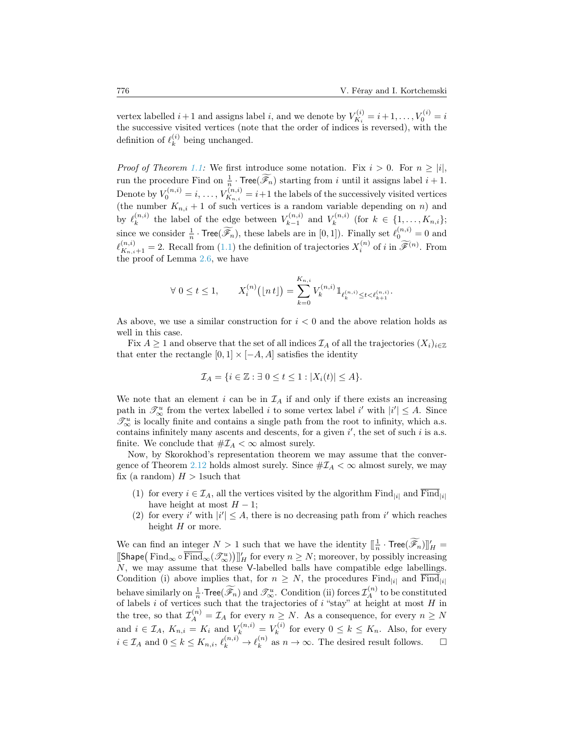vertex labelled  $i+1$  and assigns label i, and we denote by  $V_{K_i}^{(i)}$  $X_i^{(i)} = i + 1, \ldots, V_0^{(i)} = i$ the successive visited vertices (note that the order of indices is reversed), with the definition of  $\ell_k^{(i)}$  $\binom{v}{k}$  being unchanged.

*Proof of Theorem [1.1:](#page-2-0)* We first introduce some notation. Fix  $i > 0$ . For  $n \geq |i|$ , run the procedure Find on  $\frac{1}{n}$ . Tree( $\widetilde{\mathscr{F}}_n$ ) starting from i until it assigns label  $i + 1$ . Denote by  $V_0^{(n,i)} = i, \ldots, V_{K_{n,i}}^{(n,i)}$  $K_{K_{n,i}}^{(n,i)} = i+1$  the labels of the successively visited vertices (the number  $K_{n,i} + 1$  of such vertices is a random variable depending on n) and by  $\ell_k^{(n,i)}$  $\mathbf{R}_k^{(n,i)}$  the label of the edge between  $V_{k-1}^{(n,i)}$  $V_{k-1}^{(n,i)}$  and  $V_k^{(n,i)}$  $\kappa^{(n,i)}$  (for  $k \in \{1, \ldots, K_{n,i}\};$ since we consider  $\frac{1}{n} \cdot \text{Tree}(\widetilde{\mathscr{F}_n})$ , these labels are in  $[0,1]$ ). Finally set  $\ell_0^{(n,i)} = 0$  and  $\ell_{K_{n,i}+1}^{(n,i)} = 2$ . Recall from [\(1.1\)](#page-2-1) the definition of trajectories  $X_i^{(n)}$  of i in  $\widetilde{\mathscr{F}}^{(n)}$ . From the proof of Lemma [2.6,](#page-12-1) we have

$$
\forall \ 0 \le t \le 1, \qquad X_i^{(n)}(\lfloor n t \rfloor) = \sum_{k=0}^{K_{n,i}} V_k^{(n,i)} 1_{\ell_k^{(n,i)} \le t < \ell_{k+1}^{(n,i)}}.
$$

As above, we use a similar construction for  $i < 0$  and the above relation holds as well in this case.

Fix  $A \geq 1$  and observe that the set of all indices  $\mathcal{I}_A$  of all the trajectories  $(X_i)_{i\in\mathbb{Z}}$ that enter the rectangle  $[0, 1] \times [-A, A]$  satisfies the identity

$$
\mathcal{I}_A = \{ i \in \mathbb{Z} : \exists \ 0 \le t \le 1 : |X_i(t)| \le A \}.
$$

We note that an element  $i$  can be in  $\mathcal{I}_A$  if and only if there exists an increasing path in  $\mathcal{I}_{\infty}^u$  from the vertex labelled *i* to some vertex label *i'* with  $|i'| \leq A$ . Since  $\mathscr{T}^u_\infty$  is locally finite and contains a single path from the root to infinity, which a.s. contains infinitely many ascents and descents, for a given  $i'$ , the set of such  $i$  is a.s. finite. We conclude that  $\# \mathcal{I}_A < \infty$  almost surely.

Now, by Skorokhod's representation theorem we may assume that the conver-gence of Theorem [2.12](#page-16-0) holds almost surely. Since  $\#\mathcal{I}_A < \infty$  almost surely, we may fix (a random)  $H > 1$  such that

- (1) for every  $i \in \mathcal{I}_A$ , all the vertices visited by the algorithm Find<sub> $|i|$ </sub> and  $\overline{\text{Find}}_{|i|}$ have height at most  $H - 1$ ;
- (2) for every i' with  $|i'| \leq A$ , there is no decreasing path from i' which reaches height  $H$  or more.

We can find an integer  $N > 1$  such that we have the identity  $[\frac{1}{n} \cdot \text{Tree}(\widetilde{\mathscr{F}}_n)]_H' =$  $[\![\mathsf{Shape}\big(\mathsf{Find}_\infty\circ\overline{\mathsf{Find}}_\infty(\mathscr{T}_\infty^u)\big)]'_H$  for every  $n\geq N$ ; moreover, by possibly increasing N, we may assume that these V-labelled balls have compatible edge labellings. Condition (i) above implies that, for  $n \geq N$ , the procedures Find<sub>|i|</sub> and  $\overline{\text{Find}}_{|i|}$ behave similarly on  $\frac{1}{n}$ . Tree( $\widetilde{\mathscr{F}}_n$ ) and  $\mathscr{T}^u_\infty$ . Condition (ii) forces  $\mathcal{I}_A^{(n)}$  to be constituted of labels i of vertices such that the trajectories of i "stay" at height at most  $H$  in the tree, so that  $\mathcal{I}_A^{(n)} = \mathcal{I}_A$  for every  $n \geq N$ . As a consequence, for every  $n \geq N$ and  $i \in \mathcal{I}_A$ ,  $K_{n,i} = K_i$  and  $V_k^{(n,i)} = V_k^{(i)}$  $\kappa^{(i)}_k$  for every  $0 \leq k \leq K_n$ . Also, for every  $i \in \mathcal{I}_A$  and  $0 \leq k \leq K_{n,i}, \, \ell_k^{(n,i)} \to \ell_k^{(n)}$  $\binom{n}{k}$  as  $n \to \infty$ . The desired result follows.  $\square$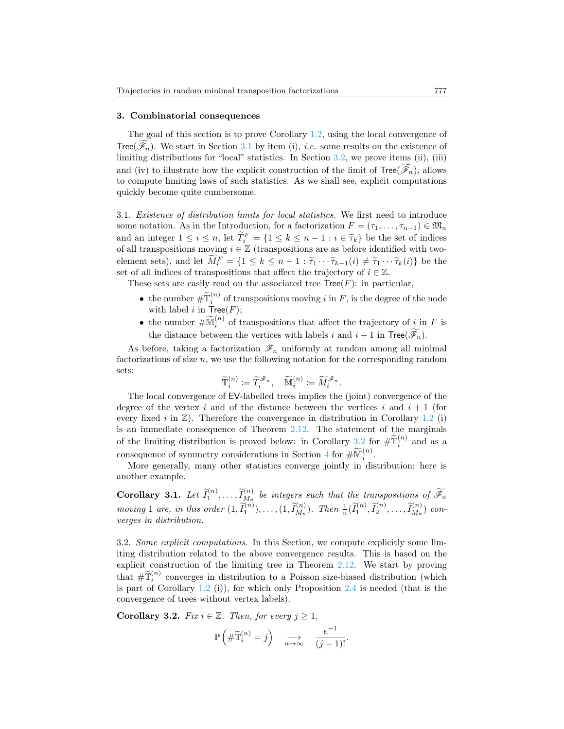#### 3. Combinatorial consequences

The goal of this section is to prove Corollary [1.2,](#page-4-0) using the local convergence of Tree( $\mathscr{F}_n$ ). We start in Section [3.1](#page-18-0) by item (i), *i.e.* some results on the existence of limiting distributions for "local" statistics. In Section [3.2,](#page-18-1) we prove items (ii), (iii) and (iv) to illustrate how the explicit construction of the limit of  $Tree(\mathcal{F}_n)$ , allows to compute limiting laws of such statistics. As we shall see, explicit computations quickly become quite cumbersome.

<span id="page-18-0"></span>3.1. Existence of distribution limits for local statistics. We first need to introduce some notation. As in the Introduction, for a factorization  $F = (\tau_1, \ldots, \tau_{n-1}) \in \mathfrak{M}_n$ and an integer  $1 \leq i \leq n$ , let  $\widetilde{T}_i^F = \{1 \leq k \leq n-1 : i \in \widetilde{\tau}_k\}$  be the set of indices of all transpositions moving  $i \in \mathbb{Z}$  (transpositions are as before identified with twoelement sets), and let  $\widetilde{M}_{i}^{F} = \{1 \leq k \leq n-1 : \widetilde{\tau}_{1} \cdots \widetilde{\tau}_{k-1}(i) \neq \widetilde{\tau}_{1} \cdots \widetilde{\tau}_{k}(i)\}\)$  be the set of all indices of transpositions that affect the trajectory of  $i \in \mathbb{Z}$ .

These sets are easily read on the associated tree  $Tree(F)$ : in particular,

- the number  $\# \widetilde{\mathbb{T}}_i^{(n)}$  of transpositions moving i in F, is the degree of the node with label i in  $Tree(F)$ ;
- the number  $\#\widetilde{\mathbb{M}}_i^{(n)}$  of transpositions that affect the trajectory of  $\underline{i}$  in F is the distance between the vertices with labels i and  $i + 1$  in  $Tree(\widetilde{\mathscr{F}}_n)$ .

As before, taking a factorization  $\mathcal{F}_n$  uniformly at random among all minimal factorizations of size n, we use the following notation for the corresponding random sets:

$$
\widetilde{\mathbb{T}}_i^{(n)} \coloneqq \widetilde{T}_i^{\mathscr{F}_n}, \quad \widetilde{\mathbb{M}}_i^{(n)} \coloneqq \widetilde{M}_i^{\mathscr{F}_n}.
$$

The local convergence of EV-labelled trees implies the (joint) convergence of the degree of the vertex i and of the distance between the vertices i and  $i + 1$  (for every fixed i in  $\mathbb{Z}$ ). Therefore the convergence in distribution in Corollary [1.2](#page-4-0) (i) is an immediate consequence of Theorem [2.12.](#page-16-0) The statement of the marginals of the limiting distribution is proved below: in Corollary  $\frac{3.2}{\sim}$  $\frac{3.2}{\sim}$  $\frac{3.2}{\sim}$  for  $\# \widetilde{T}_i^{(n)}$  and as a consequence of symmetry considerations in Section [4](#page-23-0) for  $\#\widetilde{\mathbb{M}}_i^{(n)}$ .

More generally, many other statistics converge jointly in distribution; here is another example.

**Corollary 3.1.** Let  $\tilde{I}_1^{(n)}, \ldots, \tilde{I}_{M_n}^{(n)}$  be integers such that the transpositions of  $\widetilde{\mathscr{F}}_n$ moving 1 are, in this order  $(1, \tilde{I}_1^{(n)}), \ldots, (1, \tilde{I}_{M_n}^{(n)})$ . Then  $\frac{1}{n}(\tilde{I}_1^{(n)}, \tilde{I}_2^{(n)}, \ldots, \tilde{I}_{M_n}^{(n)})$  converges in distribution.

<span id="page-18-1"></span>3.2. Some explicit computations. In this Section, we compute explicitly some limiting distribution related to the above convergence results. This is based on the explicit construction of the limiting tree in Theorem [2.12.](#page-16-0) We start by proving that  $\# \tilde{\mathbb{T}}_i^{(n)}$  converges in distribution to a Poisson size-biased distribution (which is part of Corollary [1.2](#page-4-0) (i)), for which only Proposition [2.4](#page-10-0) is needed (that is the convergence of trees without vertex labels).

<span id="page-18-2"></span>Corollary 3.2. Fix  $i \in \mathbb{Z}$ . Then, for every  $j \geq 1$ ,

$$
\mathbb{P}\left(\#\widetilde{\mathbb{T}}_i^{(n)}=j\right) \xrightarrow[n\to\infty]{} \frac{e^{-1}}{(j-1)!}.
$$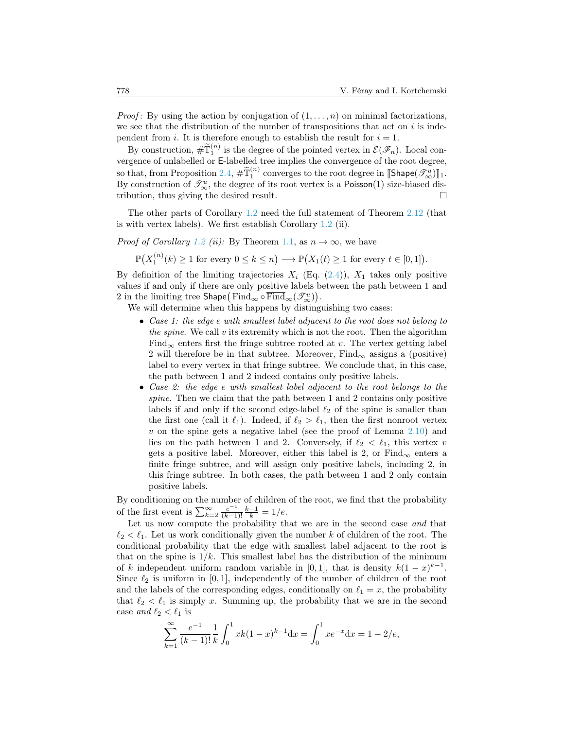*Proof*: By using the action by conjugation of  $(1, \ldots, n)$  on minimal factorizations, we see that the distribution of the number of transpositions that act on  $i$  is independent from i. It is therefore enough to establish the result for  $i = 1$ .

By construction,  $\# \widetilde{\mathbb{T}}_1^{(n)}$  is the degree of the pointed vertex in  $\mathcal{E}(\mathscr{F}_n)$ . Local convergence of unlabelled or E-labelled tree implies the convergence of the root degree, so that, from Proposition [2.4,](#page-10-0)  $\# \widetilde{T}_1^{(n)}$  converges to the root degree in  $[\text{Shape}(\mathcal{I}_{\infty}^u)]_1$ . By construction of  $\mathcal{T}^u_\infty$ , the degree of its root vertex is a Poisson(1) size-biased distribution, thus giving the desired result.

The other parts of Corollary [1.2](#page-4-0) need the full statement of Theorem [2.12](#page-16-0) (that is with vertex labels). We first establish Corollary [1.2](#page-4-0) (ii).

*Proof of Corollary [1.2](#page-4-0) (ii):* By Theorem [1.1,](#page-2-0) as  $n \to \infty$ , we have

 $\mathbb{P}(X_1^{(n)}(k) \geq 1 \text{ for every } 0 \leq k \leq n) \longrightarrow \mathbb{P}(X_1(t) \geq 1 \text{ for every } t \in [0,1]).$ 

By definition of the limiting trajectories  $X_i$  (Eq. [\(2.4\)](#page-16-2)),  $X_1$  takes only positive values if and only if there are only positive labels between the path between 1 and 2 in the limiting tree  $\mathsf{Shape}\big(\mathop{\mathrm{Find}}_\infty\circ\overline{\mathop{\mathrm{Find}}}_\infty(\mathscr{T}_\infty^u)\big).$ 

We will determine when this happens by distinguishing two cases:

- Case 1: the edge e with smallest label adjacent to the root does not belong to the spine. We call  $v$  its extremity which is not the root. Then the algorithm Find<sub>∞</sub> enters first the fringe subtree rooted at v. The vertex getting label 2 will therefore be in that subtree. Moreover,  $Find_{\infty}$  assigns a (positive) label to every vertex in that fringe subtree. We conclude that, in this case, the path between 1 and 2 indeed contains only positive labels.
- Case 2: the edge e with smallest label adjacent to the root belongs to the spine. Then we claim that the path between 1 and 2 contains only positive labels if and only if the second edge-label  $\ell_2$  of the spine is smaller than the first one (call it  $\ell_1$ ). Indeed, if  $\ell_2 > \ell_1$ , then the first nonroot vertex  $v$  on the spine gets a negative label (see the proof of Lemma  $2.10$ ) and lies on the path between 1 and 2. Conversely, if  $\ell_2 < \ell_1$ , this vertex v gets a positive label. Moreover, either this label is 2, or  $\text{Find}_{\infty}$  enters a finite fringe subtree, and will assign only positive labels, including 2, in this fringe subtree. In both cases, the path between 1 and 2 only contain positive labels.

By conditioning on the number of children of the root, we find that the probability of the first event is  $\sum_{k=2}^{\infty} \frac{e^{-1}}{(k-1)}$  $\frac{e^{-1}}{(k-1)!}\frac{k-1}{k} = 1/e.$ 

Let us now compute the probability that we are in the second case and that  $\ell_2 < \ell_1$ . Let us work conditionally given the number k of children of the root. The conditional probability that the edge with smallest label adjacent to the root is that on the spine is  $1/k$ . This smallest label has the distribution of the minimum of k independent uniform random variable in [0, 1], that is density  $k(1-x)^{k-1}$ . Since  $\ell_2$  is uniform in [0, 1], independently of the number of children of the root and the labels of the corresponding edges, conditionally on  $\ell_1 = x$ , the probability that  $\ell_2 < \ell_1$  is simply x. Summing up, the probability that we are in the second case and  $\ell_2 < \ell_1$  is

$$
\sum_{k=1}^{\infty} \frac{e^{-1}}{(k-1)!} \frac{1}{k} \int_0^1 xk(1-x)^{k-1} \mathrm{d}x = \int_0^1 x e^{-x} \mathrm{d}x = 1 - 2/e,
$$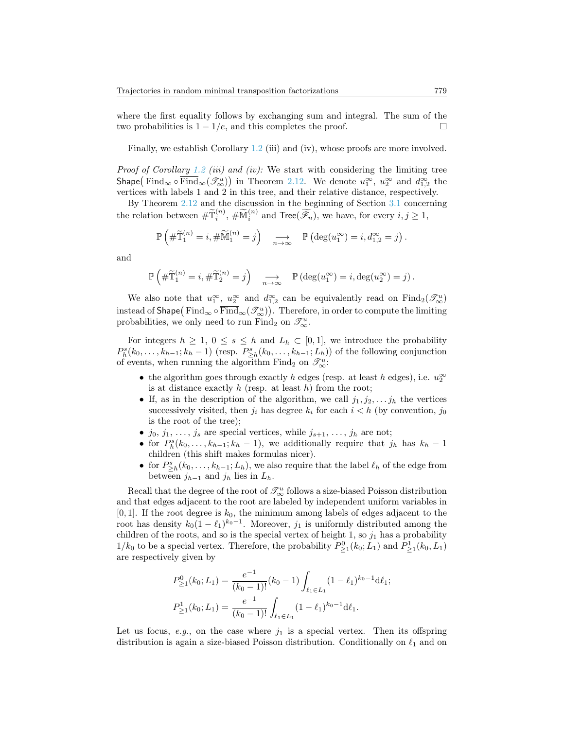where the first equality follows by exchanging sum and integral. The sum of the two probabilities is  $1 - 1/e$ , and this completes the proof.

Finally, we establish Corollary [1.2](#page-4-0) (iii) and (iv), whose proofs are more involved.

*Proof of Corollary [1.2](#page-4-0) (iii) and (iv):* We start with considering the limiting tree  $\text{Shape}(\text{Find}_{\infty} \circ \overline{\text{Find}}_{\infty}(\mathcal{J}_{\infty}^{u}))$  in Theorem [2.12.](#page-16-0) We denote  $u_1^{\infty}$ ,  $u_2^{\infty}$  and  $d_{1,2}^{\infty}$  the vertices with labels 1 and 2 in this tree, and their relative distance, respectively.

By Theorem [2.12](#page-16-0) and the discussion in the beginning of Section [3.1](#page-18-0) concerning the relation between  $\# \widetilde{\mathbb{T}}_i^{(n)}$ ,  $\# \widetilde{\mathbb{M}}_i^{(n)}$  and  $\text{Tree}(\widetilde{\mathscr{F}_n})$ , we have, for every  $i, j \geq 1$ ,

$$
\mathbb{P}\left(\#\widetilde{\mathbb{T}}_1^{(n)}=i,\#\widetilde{\mathbb{M}}_1^{(n)}=j\right) \quad \underset{n\to\infty}{\longrightarrow} \quad \mathbb{P}\left(\deg(u_1^{\infty})=i,d_{1,2}^{\infty}=j\right).
$$

and

$$
\mathbb{P}\left(\#\widetilde{\mathbb{T}}_1^{(n)}=i,\#\widetilde{\mathbb{T}}_2^{(n)}=j\right) \xrightarrow[n\to\infty]{} \mathbb{P}\left(\deg(u_1^{\infty})=i,\deg(u_2^{\infty})=j\right).
$$

We also note that  $u_1^{\infty}$ ,  $u_2^{\infty}$  and  $d_{1,2}^{\infty}$  can be equivalently read on  $\text{Find}_2(\mathcal{I}_{\infty}^u)$ instead of <code>Shape</code>  $(\mathrm{Find}_\infty\circ\overline{\mathrm{Find}}_\infty(\mathscr{T}_\infty^u))$  . Therefore, in order to compute the limiting probabilities, we only need to run Find<sub>2</sub> on  $\mathscr{T}_{\infty}^u$ .

For integers  $h \geq 1, 0 \leq s \leq h$  and  $L_h \subset [0,1]$ , we introduce the probability  $P_h^s(k_0,\ldots,k_{h-1};k_h-1)$  (resp.  $P_{\geq h}^s(k_0,\ldots,k_{h-1};L_h)$ ) of the following conjunction of events, when running the algorithm Find<sub>2</sub> on  $\mathscr{T}_{\infty}^u$ :

- the algorithm goes through exactly  $h$  edges (resp. at least  $h$  edges), i.e.  $u_2^{\infty}$ is at distance exactly  $h$  (resp. at least  $h$ ) from the root;
- If, as in the description of the algorithm, we call  $j_1, j_2, \ldots, j_h$  the vertices successively visited, then  $j_i$  has degree  $k_i$  for each  $i < h$  (by convention,  $j_0$ ) is the root of the tree);
- $j_0, j_1, \ldots, j_s$  are special vertices, while  $j_{s+1}, \ldots, j_h$  are not;
- for  $P_h^s(k_0,\ldots,k_{h-1};k_h-1)$ , we additionally require that  $j_h$  has  $k_h-1$ children (this shift makes formulas nicer).
- for  $P_{\geq h}^s(k_0,\ldots,k_{h-1};L_h)$ , we also require that the label  $\ell_h$  of the edge from between  $j_{h-1}$  and  $j_h$  lies in  $L_h$ .

Recall that the degree of the root of  $\mathcal{T}^u_\infty$  follows a size-biased Poisson distribution and that edges adjacent to the root are labeled by independent uniform variables in [0, 1]. If the root degree is  $k_0$ , the minimum among labels of edges adjacent to the root has density  $k_0(1 - \ell_1)^{k_0 - 1}$ . Moreover,  $j_1$  is uniformly distributed among the children of the roots, and so is the special vertex of height 1, so  $j_1$  has a probability  $1/k_0$  to be a special vertex. Therefore, the probability  $P_{\geq 1}^0(k_0;L_1)$  and  $P_{\geq 1}^1(k_0,L_1)$ are respectively given by

$$
P_{\geq 1}^{0}(k_0; L_1) = \frac{e^{-1}}{(k_0 - 1)!} (k_0 - 1) \int_{\ell_1 \in L_1} (1 - \ell_1)^{k_0 - 1} d\ell_1;
$$
  

$$
P_{\geq 1}^{1}(k_0; L_1) = \frac{e^{-1}}{(k_0 - 1)!} \int_{\ell_1 \in L_1} (1 - \ell_1)^{k_0 - 1} d\ell_1.
$$

Let us focus, e.g., on the case where  $j_1$  is a special vertex. Then its offspring distribution is again a size-biased Poisson distribution. Conditionally on  $\ell_1$  and on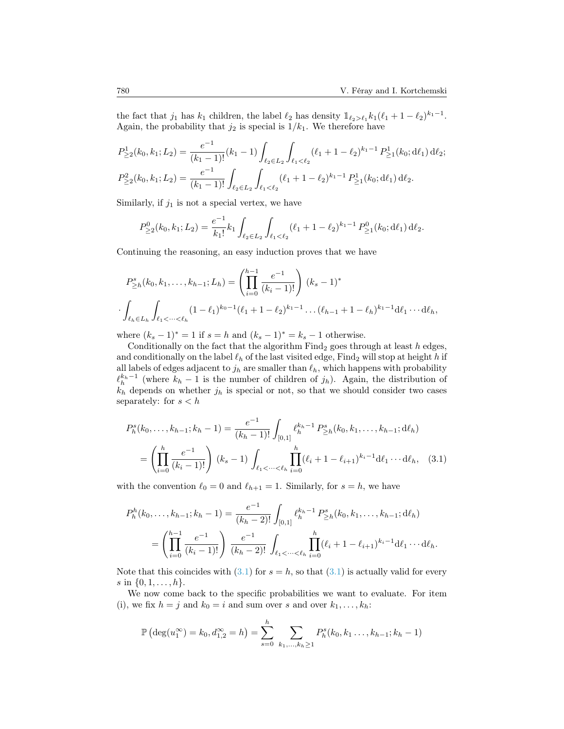the fact that  $j_1$  has  $k_1$  children, the label  $\ell_2$  has density  $\mathbb{1}_{\ell_2>\ell_1} k_1(\ell_1 + 1 - \ell_2)^{k_1-1}$ . Again, the probability that  $j_2$  is special is  $1/k_1$ . We therefore have

$$
P_{\geq 2}^1(k_0, k_1; L_2) = \frac{e^{-1}}{(k_1 - 1)!} (k_1 - 1) \int_{\ell_2 \in L_2} \int_{\ell_1 < \ell_2} (\ell_1 + 1 - \ell_2)^{k_1 - 1} P_{\geq 1}^1(k_0; d\ell_1) d\ell_2;
$$
\n
$$
P_{\geq 2}^2(k_0, k_1; L_2) = \frac{e^{-1}}{(k_1 - 1)!} \int_{\ell_2 \in L_2} \int_{\ell_1 < \ell_2} (\ell_1 + 1 - \ell_2)^{k_1 - 1} P_{\geq 1}^1(k_0; d\ell_1) d\ell_2.
$$

Similarly, if  $j_1$  is not a special vertex, we have

$$
P_{\geq 2}^0(k_0,k_1;L_2) = \frac{e^{-1}}{k_1!} k_1 \int_{\ell_2 \in L_2} \int_{\ell_1 < \ell_2} (\ell_1 + 1 - \ell_2)^{k_1 - 1} P_{\geq 1}^0(k_0; \mathrm{d}\ell_1) \, \mathrm{d}\ell_2.
$$

Continuing the reasoning, an easy induction proves that we have

$$
P_{\geq h}^{s}(k_0, k_1, \dots, k_{h-1}; L_h) = \left(\prod_{i=0}^{h-1} \frac{e^{-1}}{(k_i - 1)!}\right) (k_s - 1)^* \cdot \int_{\ell_h \in L_h} \int_{\ell_1 < \dots < \ell_h} (1 - \ell_1)^{k_0 - 1} (\ell_1 + 1 - \ell_2)^{k_1 - 1} \dots (\ell_{h-1} + 1 - \ell_h)^{k_1 - 1} d\ell_1 \dots d\ell_h,
$$

where  $(k_s - 1)^* = 1$  if  $s = h$  and  $(k_s - 1)^* = k_s - 1$  otherwise.

Conditionally on the fact that the algorithm  $Find_2$  goes through at least h edges, and conditionally on the label  $\ell_h$  of the last visited edge, Find<sub>2</sub> will stop at height h if all labels of edges adjacent to  $j_h$  are smaller than  $\ell_h$ , which happens with probability  $\ell_h^{k_h-1}$  (where  $k_h - 1$  is the number of children of  $j_h$ ). Again, the distribution of  $k_h$  depends on whether  $j_h$  is special or not, so that we should consider two cases separately: for  $s < h$ 

<span id="page-21-0"></span>
$$
P_h^s(k_0, \dots, k_{h-1}; k_h - 1) = \frac{e^{-1}}{(k_h - 1)!} \int_{[0,1]} \ell_h^{k_h - 1} P_{\geq h}^s(k_0, k_1, \dots, k_{h-1}; d\ell_h)
$$
  
= 
$$
\left(\prod_{i=0}^h \frac{e^{-1}}{(k_i - 1)!}\right) (k_s - 1) \int_{\ell_1 < \dots < \ell_h} \prod_{i=0}^h (\ell_i + 1 - \ell_{i+1})^{k_i - 1} d\ell_1 \cdots d\ell_h, \quad (3.1)
$$

with the convention  $\ell_0 = 0$  and  $\ell_{h+1} = 1$ . Similarly, for  $s = h$ , we have

$$
P_h^h(k_0, \ldots, k_{h-1}; k_h - 1) = \frac{e^{-1}}{(k_h - 2)!} \int_{[0,1]} \ell_h^{k_h - 1} P_{\geq h}^s(k_0, k_1, \ldots, k_{h-1}; d\ell_h)
$$
  
= 
$$
\left(\prod_{i=0}^{h-1} \frac{e^{-1}}{(k_i - 1)!}\right) \frac{e^{-1}}{(k_h - 2)!} \int_{\ell_1 < \cdots < \ell_h} \prod_{i=0}^h (\ell_i + 1 - \ell_{i+1})^{k_i - 1} d\ell_1 \cdots d\ell_h.
$$

Note that this coincides with  $(3.1)$  for  $s = h$ , so that  $(3.1)$  is actually valid for every s in  $\{0, 1, \ldots, h\}.$ 

We now come back to the specific probabilities we want to evaluate. For item (i), we fix  $h = j$  and  $k_0 = i$  and sum over s and over  $k_1, \ldots, k_h$ :

$$
\mathbb{P}\left(\deg(u_1^{\infty})=k_0, d_{1,2}^{\infty}=h\right)=\sum_{s=0}^h \sum_{k_1,\dots,k_h\geq 1} P_h^s(k_0, k_1\dots, k_{h-1}; k_h-1)
$$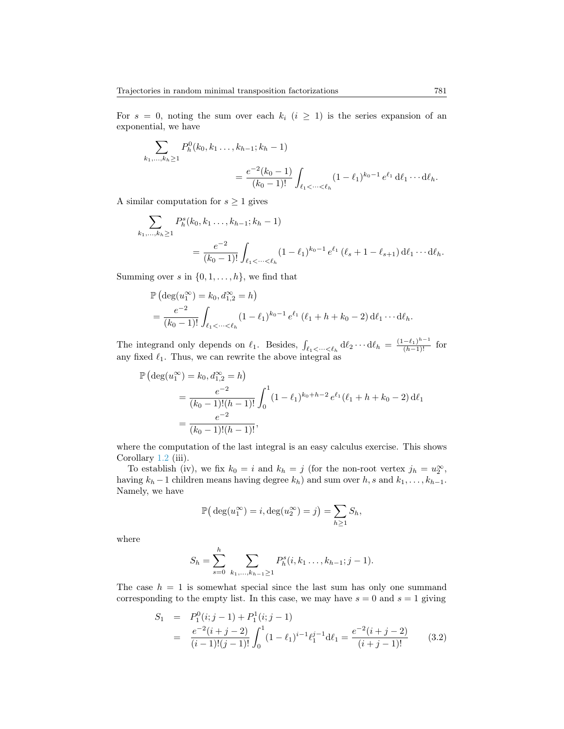For  $s = 0$ , noting the sum over each  $k_i$   $(i \geq 1)$  is the series expansion of an exponential, we have

$$
\sum_{k_1,\dots,k_h\geq 1} P_h^0(k_0,k_1\dots,k_{h-1};k_h-1)
$$
  
= 
$$
\frac{e^{-2}(k_0-1)}{(k_0-1)!} \int_{\ell_1 < \dots < \ell_h} (1-\ell_1)^{k_0-1} e^{\ell_1} d\ell_1 \dots d\ell_h.
$$

A similar computation for  $s \geq 1$  gives

$$
\sum_{k_1,\dots,k_h\geq 1} P_h^s(k_0,k_1\dots,k_{h-1};k_h-1)
$$
  
= 
$$
\frac{e^{-2}}{(k_0-1)!} \int_{\ell_1 < \dots < \ell_h} (1-\ell_1)^{k_0-1} e^{\ell_1} (\ell_s+1-\ell_{s+1}) d\ell_1 \cdots d\ell_h.
$$

Summing over s in  $\{0, 1, \ldots, h\}$ , we find that

$$
\mathbb{P}\left(\deg(u_1^{\infty}) = k_0, d_{1,2}^{\infty} = h\right)
$$
  
=  $\frac{e^{-2}}{(k_0 - 1)!} \int_{\ell_1 < \dots < \ell_h} (1 - \ell_1)^{k_0 - 1} e^{\ell_1} (\ell_1 + h + k_0 - 2) d\ell_1 \cdots d\ell_h.$ 

The integrand only depends on  $\ell_1$ . Besides,  $\int_{\ell_1 < \dots < \ell_h} d\ell_2 \dots d\ell_h = \frac{(1-\ell_1)^{h-1}}{(h-1)!}$  for any fixed  $\ell_1.$  Thus, we can rewrite the above integral as

$$
\mathbb{P}\left(\deg(u_1^{\infty}) = k_0, d_{1,2}^{\infty} = h\right)
$$
  
= 
$$
\frac{e^{-2}}{(k_0 - 1)!(h - 1)!} \int_0^1 (1 - \ell_1)^{k_0 + h - 2} e^{\ell_1} (\ell_1 + h + k_0 - 2) d\ell_1
$$
  
= 
$$
\frac{e^{-2}}{(k_0 - 1)!(h - 1)!},
$$

where the computation of the last integral is an easy calculus exercise. This shows Corollary [1.2](#page-4-0) (iii).

To establish (iv), we fix  $k_0 = i$  and  $k_h = j$  (for the non-root vertex  $j_h = u_2^{\infty}$ , having  $k_h - 1$  children means having degree  $k_h$ ) and sum over  $h, s$  and  $k_1, \ldots, k_{h-1}$ . Namely, we have

$$
\mathbb{P}\big(\deg(u_1^{\infty})=i, \deg(u_2^{\infty})=j\big)=\sum_{h\geq 1}S_h,
$$

where

$$
S_h = \sum_{s=0}^h \sum_{k_1,\dots,k_{h-1}\geq 1} P_h^s(i,k_1\dots,k_{h-1};j-1).
$$

The case  $h = 1$  is somewhat special since the last sum has only one summand corresponding to the empty list. In this case, we may have  $s = 0$  and  $s = 1$  giving

<span id="page-22-0"></span>
$$
S_1 = P_1^0(i; j - 1) + P_1^1(i; j - 1)
$$
  
= 
$$
\frac{e^{-2}(i + j - 2)}{(i - 1)!(j - 1)!} \int_0^1 (1 - \ell_1)^{i - 1} \ell_1^{j - 1} d\ell_1 = \frac{e^{-2}(i + j - 2)}{(i + j - 1)!}
$$
 (3.2)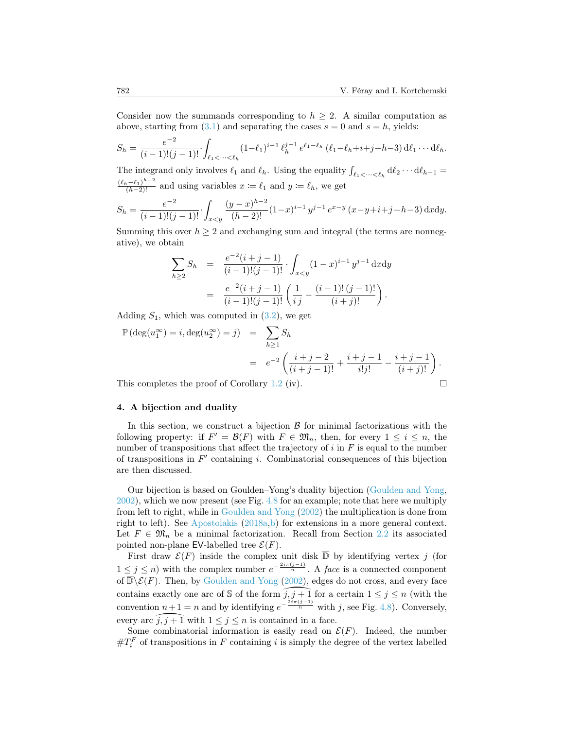Consider now the summands corresponding to  $h \geq 2$ . A similar computation as above, starting from  $(3.1)$  and separating the cases  $s = 0$  and  $s = h$ , yields:

$$
S_h = \frac{e^{-2}}{(i-1)!(j-1)!} \int_{\ell_1 < \dots < \ell_h} (1 - \ell_1)^{i-1} \, \ell_h^{j-1} \, e^{\ell_1 - \ell_h} \, (\ell_1 - \ell_h + i + j + h - 3) \, \mathrm{d}\ell_1 \dots \, \mathrm{d}\ell_h.
$$

The integrand only involves  $\ell_1$  and  $\ell_h$ . Using the equality  $\int_{\ell_1 < \dots < \ell_h} d\ell_2 \dots d\ell_{h-1} =$  $\frac{(\ell_h-\ell_1)^{h-2}}{(h-2)!}$  and using variables  $x := \ell_1$  and  $y := \ell_h$ , we get

$$
S_h = \frac{e^{-2}}{(i-1)!(j-1)!} \cdot \int_{x
$$

Summing this over  $h \geq 2$  and exchanging sum and integral (the terms are nonnegative), we obtain

$$
\sum_{h\geq 2} S_h = \frac{e^{-2}(i+j-1)}{(i-1)!(j-1)!} \cdot \int_{x
$$
= \frac{e^{-2}(i+j-1)}{(i-1)!(j-1)!} \left(\frac{1}{ij} - \frac{(i-1)!(j-1)!}{(i+j)!}\right).
$$
$$

Adding  $S_1$ , which was computed in  $(3.2)$ , we get

$$
\mathbb{P}(\deg(u_1^{\infty}) = i, \deg(u_2^{\infty}) = j) = \sum_{h \ge 1} S_h
$$
  
=  $e^{-2} \left( \frac{i+j-2}{(i+j-1)!} + \frac{i+j-1}{i!j!} - \frac{i+j-1}{(i+j)!} \right).$ 

This completes the proof of Corollary [1.2](#page-4-0) (iv).

#### <span id="page-23-0"></span>4. A bijection and duality

In this section, we construct a bijection  $\beta$  for minimal factorizations with the following property: if  $F' = \mathcal{B}(F)$  with  $F \in \mathfrak{M}_n$ , then, for every  $1 \leq i \leq n$ , the number of transpositions that affect the trajectory of  $i$  in  $F$  is equal to the number of transpositions in  $F'$  containing i. Combinatorial consequences of this bijection are then discussed.

Our bijection is based on Goulden–Yong's duality bijection [\(Goulden and Yong,](#page-26-3) [2002\)](#page-26-3), which we now present (see Fig. [4.8](#page-25-2) for an example; note that here we multiply from left to right, while in [Goulden and Yong](#page-26-3) [\(2002\)](#page-26-3) the multiplication is done from right to left). See [Apostolakis](#page-26-14)  $(2018a,b)$  $(2018a,b)$  for extensions in a more general context. Let  $F \in \mathfrak{M}_n$  be a minimal factorization. Recall from Section [2.2](#page-9-0) its associated pointed non-plane EV-labelled tree  $\mathcal{E}(F)$ .

First draw  $\mathcal{E}(F)$  inside the complex unit disk  $\overline{\mathbb{D}}$  by identifying vertex j (for  $1 \leq j \leq n$ ) with the complex number  $e^{-\frac{2i\pi(j-1)}{n}}$ . A face is a connected component of  $\overline{\mathbb{D}}\backslash \mathcal{E}(F)$ . Then, by [Goulden and Yong](#page-26-3) [\(2002\)](#page-26-3), edges do not cross, and every face contains exactly one arc of S of the form  $\widehat{j, j + 1}$  for a certain  $1 \leq j \leq n$  (with the convention  $n+1=n$  and by identifying  $e^{-\frac{2i\pi(j-1)}{n}}$  with j, see Fig. [4.8\)](#page-25-2). Conversely, every arc  $\tilde{j}, \tilde{j} + \tilde{1}$  with  $1 \leq \tilde{j} \leq n$  is contained in a face.

Some combinatorial information is easily read on  $\mathcal{E}(F)$ . Indeed, the number  $\#T_i^F$  of transpositions in F containing i is simply the degree of the vertex labelled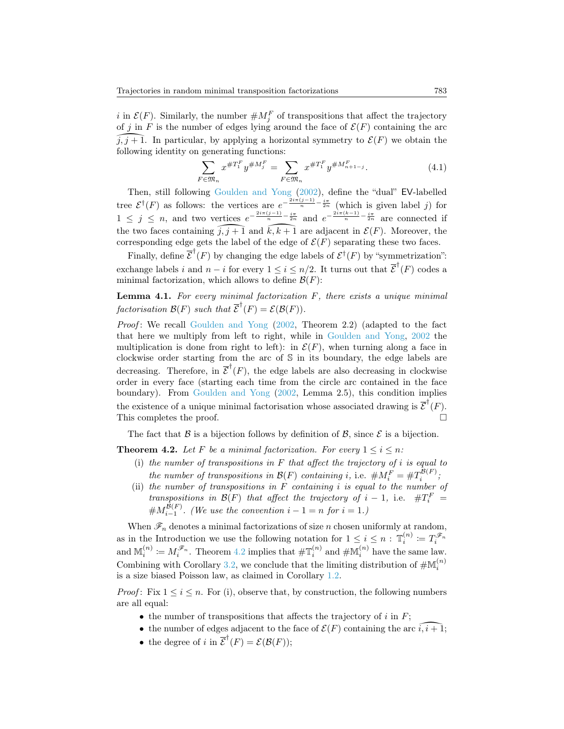i in  $\mathcal{E}(F)$ . Similarly, the number  $\# M_j^F$  of transpositions that affect the trajectory of j in F is the number of edges lying around the face of  $\mathcal{E}(F)$  containing the arc  $f, f + 1$ . In particular, by applying a norm-<br>following identity on generating functions:  $\tilde{j}, \tilde{j} + 1$ . In particular, by applying a horizontal symmetry to  $\mathcal{E}(F)$  we obtain the

$$
\sum_{F \in \mathfrak{M}_n} x^{\#T_1^F} y^{\#M_j^F} = \sum_{F \in \mathfrak{M}_n} x^{\#T_1^F} y^{\#M_{n+1-j}^F}.
$$
\n(4.1)

Then, still following [Goulden and Yong](#page-26-3) [\(2002\)](#page-26-3), define the "dual" EV-labelled tree  $\mathcal{E}^{\dagger}(F)$  as follows: the vertices are  $e^{-\frac{2i\pi(j-1)}{n}-\frac{i\pi}{2n}}$  (which is given label j) for  $1 \leq j \leq n$ , and two vertices  $e^{-\frac{2i\pi(j-1)}{n}-\frac{i\pi}{2n}}$  and  $e^{-\frac{2i\pi(k-1)}{n}-\frac{i\pi}{2n}}$  are connected if the two faces containing  $\widehat{j, j+1}$  and  $\widehat{k, k+1}$  are adjacent in  $\mathcal{E}(F)$ . Moreover, the corresponding edge gets the label of the edge of  $\mathcal{E}(F)$  separating these two faces.

Finally, define  $\overline{\mathcal{E}}^{\dagger}(F)$  by changing the edge labels of  $\mathcal{E}^{\dagger}(F)$  by "symmetrization": exchange labels i and  $n-i$  for every  $1 \leq i \leq n/2$ . It turns out that  $\overline{\mathcal{E}}^{\dagger}(F)$  codes a minimal factorization, which allows to define  $\mathcal{B}(F)$ :

**Lemma 4.1.** For every minimal factorization  $F$ , there exists a unique minimal factorisation  $\mathcal{B}(F)$  such that  $\overline{\mathcal{E}}^{\dagger}(F) = \mathcal{E}(\mathcal{B}(F)).$ 

*Proof*: We recall [Goulden and Yong](#page-26-3)  $(2002,$  Theorem 2.2) (adapted to the fact that here we multiply from left to right, while in [Goulden and Yong,](#page-26-3) [2002](#page-26-3) the multiplication is done from right to left): in  $\mathcal{E}(F)$ , when turning along a face in clockwise order starting from the arc of S in its boundary, the edge labels are decreasing. Therefore, in  $\overline{\mathcal{E}}^{\dagger}(F)$ , the edge labels are also decreasing in clockwise order in every face (starting each time from the circle arc contained in the face boundary). From [Goulden and Yong](#page-26-3) [\(2002,](#page-26-3) Lemma 2.5), this condition implies the existence of a unique minimal factorisation whose associated drawing is  $\overline{\mathcal{E}}^{\dagger}(F)$ . This completes the proof.

The fact that  $\beta$  is a bijection follows by definition of  $\beta$ , since  $\beta$  is a bijection.

<span id="page-24-0"></span>**Theorem 4.2.** Let F be a minimal factorization. For every  $1 \leq i \leq n$ :

- (i) the number of transpositions in  $F$  that affect the trajectory of i is equal to the number of transpositions in  $\mathcal{B}(F)$  containing i, i.e.  $\# M_i^F = \# T_i^{\mathcal{B}(F)}$ ;
- (ii) the number of transpositions in  $\overline{F}$  containing i is equal to the number of transpositions in  $\mathcal{B}(F)$  that affect the trajectory of  $i-1$ , i.e.  $\#T_i^F =$  $\#M_{i-1}^{\mathcal{B}(F)}$ . (We use the convention  $i-1=n$  for  $i=1$ .)

When  $\mathscr{F}_n$  denotes a minimal factorizations of size n chosen uniformly at random, as in the Introduction we use the following notation for  $1 \leq i \leq n$  :  $\mathbb{T}_i^{(n)} := T_i^{\mathscr{F}_n}$ as in the introduction we use the following notation for  $1 \leq i \leq n$ .  $\mathbb{I}_i := I_i$ <br>and  $\mathbb{M}_i^{(n)} := M_i^{\mathscr{F}_n}$ . Theorem [4.2](#page-24-0) implies that  $\#\mathbb{T}_i^{(n)}$  and  $\#\mathbb{M}_i^{(n)}$  have the same law. Combining with Corollary [3.2,](#page-18-2) we conclude that the limiting distribution of  $\#\mathbb{M}_i^{(n)}$ is a size biased Poisson law, as claimed in Corollary [1.2.](#page-4-0)

*Proof*: Fix  $1 \leq i \leq n$ . For (i), observe that, by construction, the following numbers are all equal:

- the number of transpositions that affects the trajectory of  $i$  in  $F$ ;
- the number of edges adjacent to the face of  $\mathcal{E}(F)$  containing the arc  $\widehat{i, i+1}$ ;
- the degree of i in  $\overline{\mathcal{E}}^{\dagger}(F) = \mathcal{E}(\mathcal{B}(F));$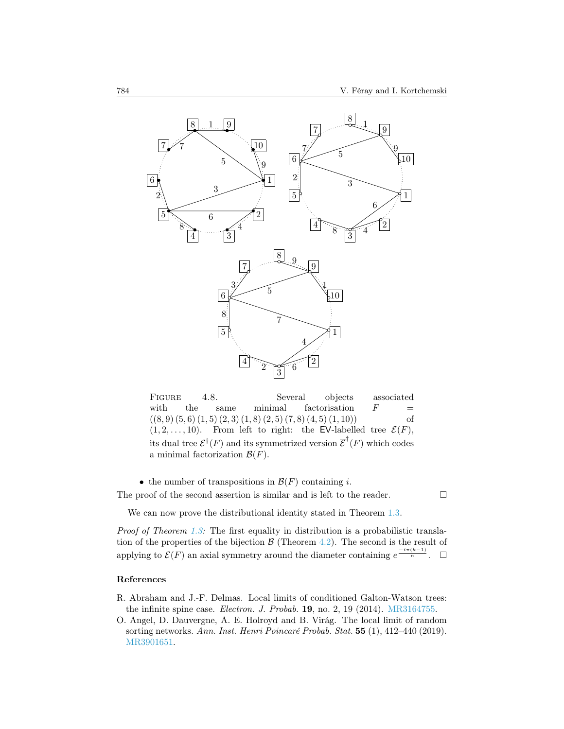

FIGURE 4.8. Several objects associated with the same minimal factorisation  $F =$  $((8, 9) (5, 6) (1, 5) (2, 3) (1, 8) (2, 5) (7, 8) (4, 5) (1, 10))$  of  $(1, 2, \ldots, 10)$ . From left to right: the EV-labelled tree  $\mathcal{E}(F)$ , its dual tree  $\mathcal{E}^{\dagger}(F)$  and its symmetrized version  $\overline{\mathcal{E}}^{\dagger}(F)$  which codes a minimal factorization  $\mathcal{B}(F)$ .

• the number of transpositions in  $\mathcal{B}(F)$  containing *i*. The proof of the second assertion is similar and is left to the reader.  $\Box$ 

<span id="page-25-2"></span>

We can now prove the distributional identity stated in Theorem [1.3.](#page-4-1)

Proof of Theorem [1.3:](#page-4-1) The first equality in distribution is a probabilistic translation of the properties of the bijection  $\mathcal{B}$  (Theorem [4.2\)](#page-24-0). The second is the result of applying to  $\mathcal{E}(F)$  an axial symmetry around the diameter containing  $e^{\frac{-i\pi(k-1)}{n}}$ .  $\Box$ 

#### References

- <span id="page-25-1"></span>R. Abraham and J.-F. Delmas. Local limits of conditioned Galton-Watson trees: the infinite spine case. Electron. J. Probab. 19, no. 2, 19 (2014). [MR3164755.](http://www.ams.org/mathscinet-getitem?mr=MR3164755)
- <span id="page-25-0"></span>O. Angel, D. Dauvergne, A. E. Holroyd and B. Virág. The local limit of random sorting networks. Ann. Inst. Henri Poincaré Probab. Stat. 55 (1), 412–440 (2019). [MR3901651.](http://www.ams.org/mathscinet-getitem?mr=MR3901651)